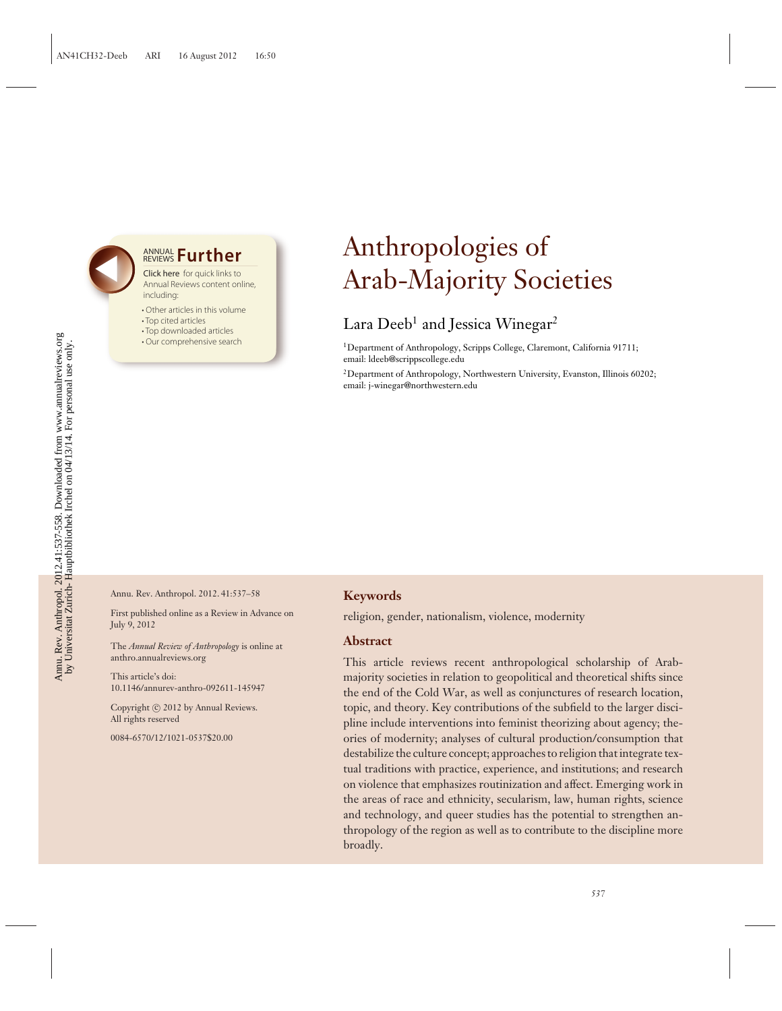## **ANNUAL Further**

Click here for quick links to Annual Reviews content online, including:

- Other articles in this volume
- Top cited articles
- Top downloaded articles
- Our comprehensive search

# Anthropologies of Arab-Majority Societies

## Lara Deeb<sup>1</sup> and Jessica Winegar<sup>2</sup>

1Department of Anthropology, Scripps College, Claremont, California 91711; email: ldeeb@scrippscollege.edu

2Department of Anthropology, Northwestern University, Evanston, Illinois 60202; email: j-winegar@northwestern.edu

Annu. Rev. Anthropol. 2012. 41:537–58

First published online as a Review in Advance on July 9, 2012

The *Annual Review of Anthropology* is online at anthro.annualreviews.org

This article's doi: 10.1146/annurev-anthro-092611-145947

Copyright © 2012 by Annual Reviews. All rights reserved

0084-6570/12/1021-0537\$20.00

#### **Keywords**

religion, gender, nationalism, violence, modernity

#### **Abstract**

This article reviews recent anthropological scholarship of Arabmajority societies in relation to geopolitical and theoretical shifts since the end of the Cold War, as well as conjunctures of research location, topic, and theory. Key contributions of the subfield to the larger discipline include interventions into feminist theorizing about agency; theories of modernity; analyses of cultural production/consumption that destabilize the culture concept; approaches to religion that integrate textual traditions with practice, experience, and institutions; and research on violence that emphasizes routinization and affect. Emerging work in the areas of race and ethnicity, secularism, law, human rights, science and technology, and queer studies has the potential to strengthen anthropology of the region as well as to contribute to the discipline more broadly.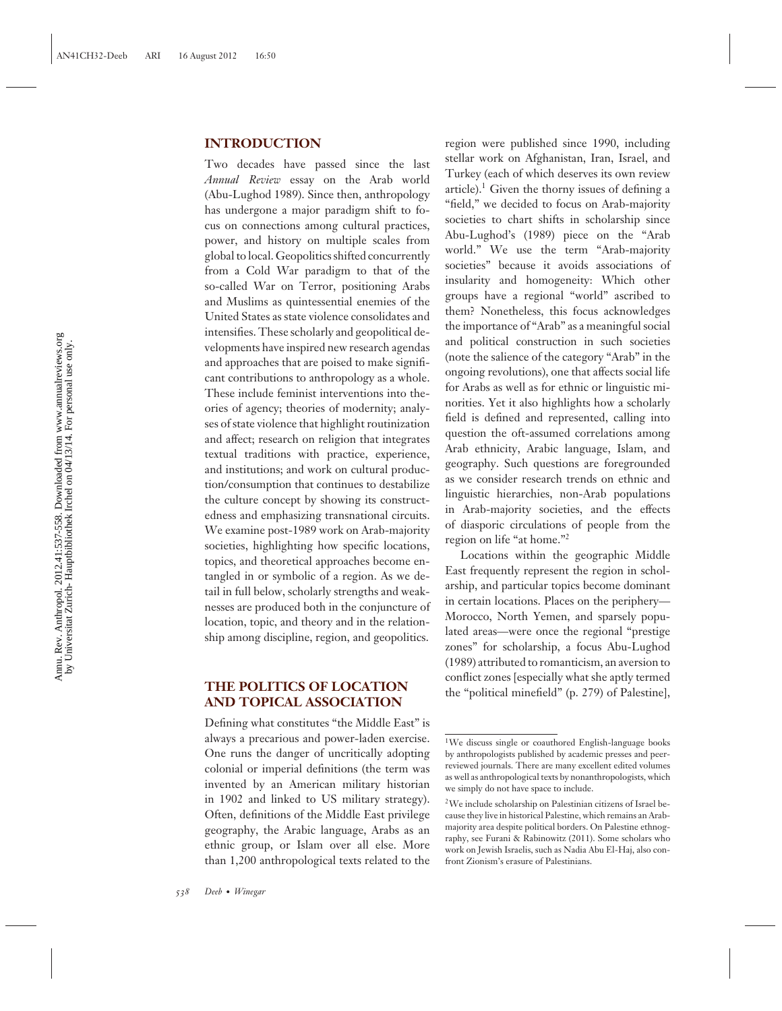#### **INTRODUCTION**

Two decades have passed since the last *Annual Review* essay on the Arab world (Abu-Lughod 1989). Since then, anthropology has undergone a major paradigm shift to focus on connections among cultural practices, power, and history on multiple scales from global to local. Geopolitics shifted concurrently from a Cold War paradigm to that of the so-called War on Terror, positioning Arabs and Muslims as quintessential enemies of the United States as state violence consolidates and intensifies. These scholarly and geopolitical developments have inspired new research agendas and approaches that are poised to make significant contributions to anthropology as a whole. These include feminist interventions into theories of agency; theories of modernity; analyses of state violence that highlight routinization and affect; research on religion that integrates textual traditions with practice, experience, and institutions; and work on cultural production/consumption that continues to destabilize the culture concept by showing its constructedness and emphasizing transnational circuits. We examine post-1989 work on Arab-majority societies, highlighting how specific locations, topics, and theoretical approaches become entangled in or symbolic of a region. As we detail in full below, scholarly strengths and weaknesses are produced both in the conjuncture of location, topic, and theory and in the relationship among discipline, region, and geopolitics.

#### **THE POLITICS OF LOCATION AND TOPICAL ASSOCIATION**

Defining what constitutes "the Middle East" is always a precarious and power-laden exercise. One runs the danger of uncritically adopting colonial or imperial definitions (the term was invented by an American military historian in 1902 and linked to US military strategy). Often, definitions of the Middle East privilege geography, the Arabic language, Arabs as an ethnic group, or Islam over all else. More than 1,200 anthropological texts related to the region were published since 1990, including stellar work on Afghanistan, Iran, Israel, and Turkey (each of which deserves its own review article).<sup>1</sup> Given the thorny issues of defining a "field," we decided to focus on Arab-majority societies to chart shifts in scholarship since Abu-Lughod's (1989) piece on the "Arab world." We use the term "Arab-majority societies" because it avoids associations of insularity and homogeneity: Which other groups have a regional "world" ascribed to them? Nonetheless, this focus acknowledges the importance of "Arab" as a meaningful social and political construction in such societies (note the salience of the category "Arab" in the ongoing revolutions), one that affects social life for Arabs as well as for ethnic or linguistic minorities. Yet it also highlights how a scholarly field is defined and represented, calling into question the oft-assumed correlations among Arab ethnicity, Arabic language, Islam, and geography. Such questions are foregrounded as we consider research trends on ethnic and linguistic hierarchies, non-Arab populations in Arab-majority societies, and the effects of diasporic circulations of people from the region on life "at home."2

Locations within the geographic Middle East frequently represent the region in scholarship, and particular topics become dominant in certain locations. Places on the periphery— Morocco, North Yemen, and sparsely populated areas—were once the regional "prestige zones" for scholarship, a focus Abu-Lughod (1989) attributed to romanticism, an aversion to conflict zones [especially what she aptly termed the "political minefield" (p. 279) of Palestine],

<sup>&</sup>lt;sup>1</sup>We discuss single or coauthored English-language books by anthropologists published by academic presses and peerreviewed journals. There are many excellent edited volumes as well as anthropological texts by nonanthropologists, which we simply do not have space to include.

<sup>2</sup>We include scholarship on Palestinian citizens of Israel because they live in historical Palestine, which remains an Arabmajority area despite political borders. On Palestine ethnography, see Furani & Rabinowitz (2011). Some scholars who work on Jewish Israelis, such as Nadia Abu El-Haj, also confront Zionism's erasure of Palestinians.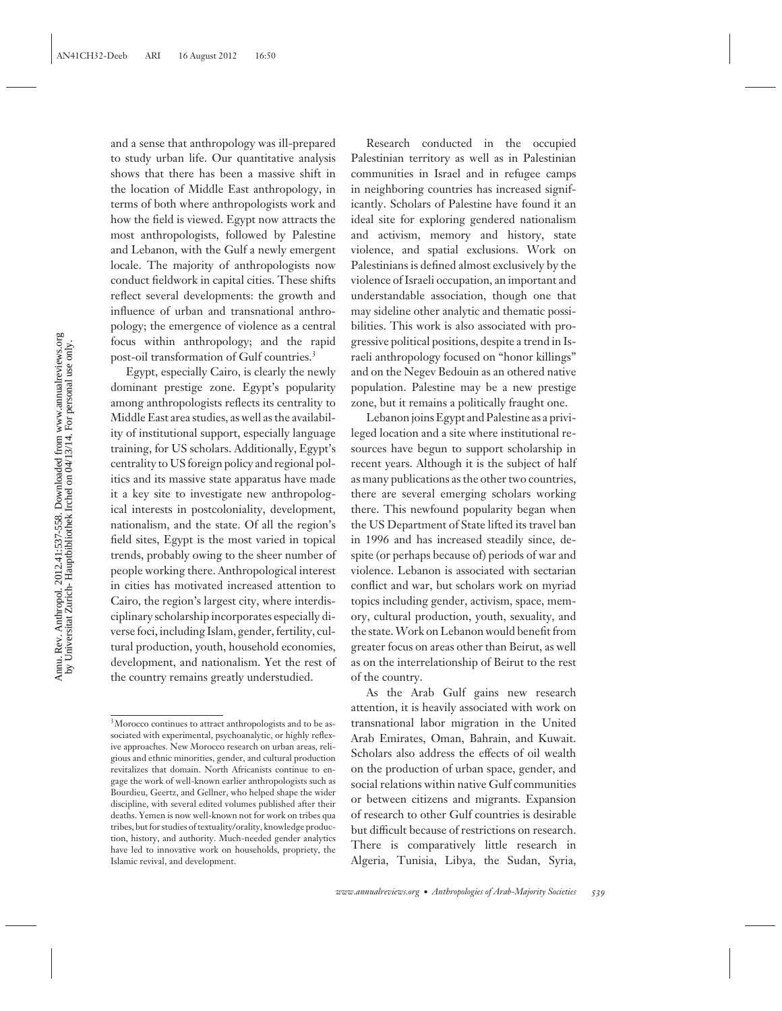and a sense that anthropology was ill-prepared to study urban life. Our quantitative analysis shows that there has been a massive shift in the location of Middle East anthropology, in terms of both where anthropologists work and how the field is viewed. Egypt now attracts the most anthropologists, followed by Palestine and Lebanon, with the Gulf a newly emergent locale. The majority of anthropologists now conduct fieldwork in capital cities. These shifts reflect several developments: the growth and influence of urban and transnational anthropology; the emergence of violence as a central focus within anthropology; and the rapid post-oil transformation of Gulf countries.<sup>3</sup>

Egypt, especially Cairo, is clearly the newly dominant prestige zone. Egypt's popularity among anthropologists reflects its centrality to Middle East area studies, as well as the availability of institutional support, especially language training, for US scholars. Additionally, Egypt's centrality to US foreign policy and regional politics and its massive state apparatus have made it a key site to investigate new anthropological interests in postcoloniality, development, nationalism, and the state. Of all the region's field sites, Egypt is the most varied in topical trends, probably owing to the sheer number of people working there. Anthropological interest in cities has motivated increased attention to Cairo, the region's largest city, where interdisciplinary scholarship incorporates especially diverse foci, including Islam, gender, fertility, cultural production, youth, household economies, development, and nationalism. Yet the rest of the country remains greatly understudied.

Research conducted in the occupied Palestinian territory as well as in Palestinian communities in Israel and in refugee camps in neighboring countries has increased significantly. Scholars of Palestine have found it an ideal site for exploring gendered nationalism and activism, memory and history, state violence, and spatial exclusions. Work on Palestinians is defined almost exclusively by the violence of Israeli occupation, an important and understandable association, though one that may sideline other analytic and thematic possibilities. This work is also associated with progressive political positions, despite a trend in Israeli anthropology focused on "honor killings" and on the Negev Bedouin as an othered native population. Palestine may be a new prestige zone, but it remains a politically fraught one.

Lebanon joins Egypt and Palestine as a privileged location and a site where institutional resources have begun to support scholarship in recent years. Although it is the subject of half as many publications as the other two countries, there are several emerging scholars working there. This newfound popularity began when the US Department of State lifted its travel ban in 1996 and has increased steadily since, despite (or perhaps because of) periods of war and violence. Lebanon is associated with sectarian conflict and war, but scholars work on myriad topics including gender, activism, space, memory, cultural production, youth, sexuality, and the state. Work on Lebanon would benefit from greater focus on areas other than Beirut, as well as on the interrelationship of Beirut to the rest of the country.

As the Arab Gulf gains new research attention, it is heavily associated with work on transnational labor migration in the United Arab Emirates, Oman, Bahrain, and Kuwait. Scholars also address the effects of oil wealth on the production of urban space, gender, and social relations within native Gulf communities or between citizens and migrants. Expansion of research to other Gulf countries is desirable but difficult because of restrictions on research. There is comparatively little research in Algeria, Tunisia, Libya, the Sudan, Syria,

<sup>&</sup>lt;sup>3</sup>Morocco continues to attract anthropologists and to be associated with experimental, psychoanalytic, or highly reflexive approaches. New Morocco research on urban areas, religious and ethnic minorities, gender, and cultural production revitalizes that domain. North Africanists continue to engage the work of well-known earlier anthropologists such as Bourdieu, Geertz, and Gellner, who helped shape the wider discipline, with several edited volumes published after their deaths. Yemen is now well-known not for work on tribes qua tribes, but for studies of textuality/orality, knowledge production, history, and authority. Much-needed gender analytics have led to innovative work on households, propriety, the Islamic revival, and development.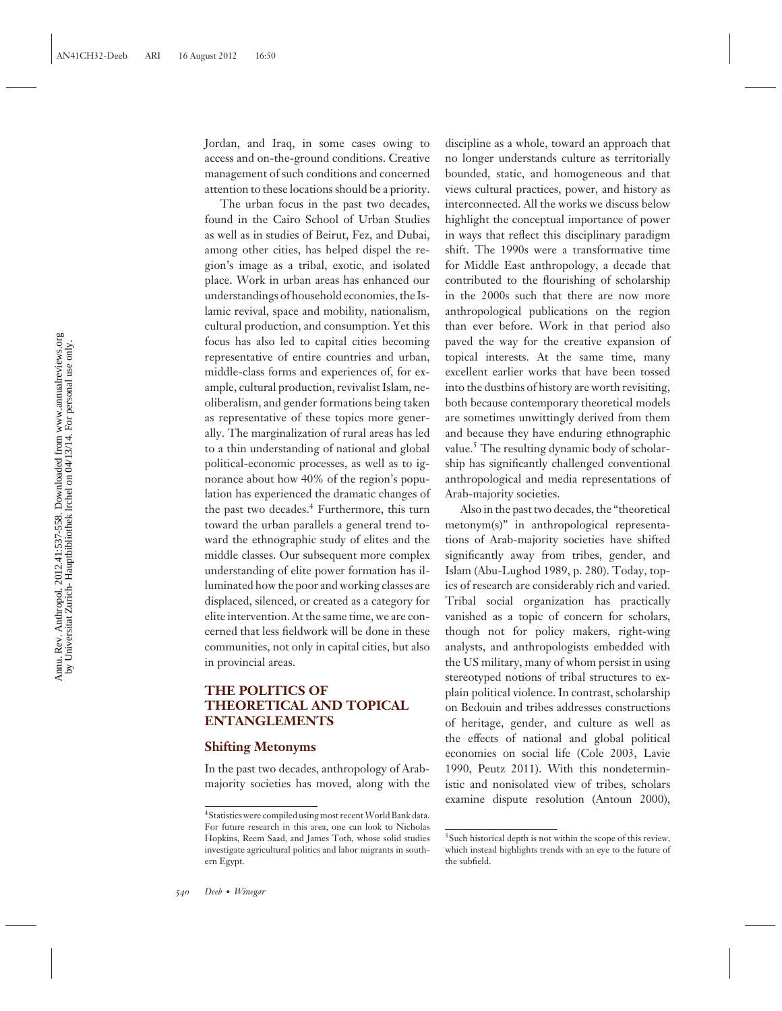Jordan, and Iraq, in some cases owing to access and on-the-ground conditions. Creative management of such conditions and concerned attention to these locations should be a priority.

The urban focus in the past two decades, found in the Cairo School of Urban Studies as well as in studies of Beirut, Fez, and Dubai, among other cities, has helped dispel the region's image as a tribal, exotic, and isolated place. Work in urban areas has enhanced our understandings of household economies, the Islamic revival, space and mobility, nationalism, cultural production, and consumption. Yet this focus has also led to capital cities becoming representative of entire countries and urban, middle-class forms and experiences of, for example, cultural production, revivalist Islam, neoliberalism, and gender formations being taken as representative of these topics more generally. The marginalization of rural areas has led to a thin understanding of national and global political-economic processes, as well as to ignorance about how 40% of the region's population has experienced the dramatic changes of the past two decades.<sup>4</sup> Furthermore, this turn toward the urban parallels a general trend toward the ethnographic study of elites and the middle classes. Our subsequent more complex understanding of elite power formation has illuminated how the poor and working classes are displaced, silenced, or created as a category for elite intervention. At the same time, we are concerned that less fieldwork will be done in these communities, not only in capital cities, but also in provincial areas.

### **THE POLITICS OF THEORETICAL AND TOPICAL ENTANGLEMENTS**

#### **Shifting Metonyms**

In the past two decades, anthropology of Arabmajority societies has moved, along with the discipline as a whole, toward an approach that no longer understands culture as territorially bounded, static, and homogeneous and that views cultural practices, power, and history as interconnected. All the works we discuss below highlight the conceptual importance of power in ways that reflect this disciplinary paradigm shift. The 1990s were a transformative time for Middle East anthropology, a decade that contributed to the flourishing of scholarship in the 2000s such that there are now more anthropological publications on the region than ever before. Work in that period also paved the way for the creative expansion of topical interests. At the same time, many excellent earlier works that have been tossed into the dustbins of history are worth revisiting, both because contemporary theoretical models are sometimes unwittingly derived from them and because they have enduring ethnographic value.<sup>5</sup> The resulting dynamic body of scholarship has significantly challenged conventional anthropological and media representations of Arab-majority societies.

Also in the past two decades, the "theoretical metonym(s)" in anthropological representations of Arab-majority societies have shifted significantly away from tribes, gender, and Islam (Abu-Lughod 1989, p. 280). Today, topics of research are considerably rich and varied. Tribal social organization has practically vanished as a topic of concern for scholars, though not for policy makers, right-wing analysts, and anthropologists embedded with the US military, many of whom persist in using stereotyped notions of tribal structures to explain political violence. In contrast, scholarship on Bedouin and tribes addresses constructions of heritage, gender, and culture as well as the effects of national and global political economies on social life (Cole 2003, Lavie 1990, Peutz 2011). With this nondeterministic and nonisolated view of tribes, scholars examine dispute resolution (Antoun 2000),

<sup>4</sup>Statistics were compiled using most recent World Bank data. For future research in this area, one can look to Nicholas Hopkins, Reem Saad, and James Toth, whose solid studies investigate agricultural politics and labor migrants in southern Egypt.

<sup>&</sup>lt;sup>5</sup> Such historical depth is not within the scope of this review, which instead highlights trends with an eye to the future of the subfield.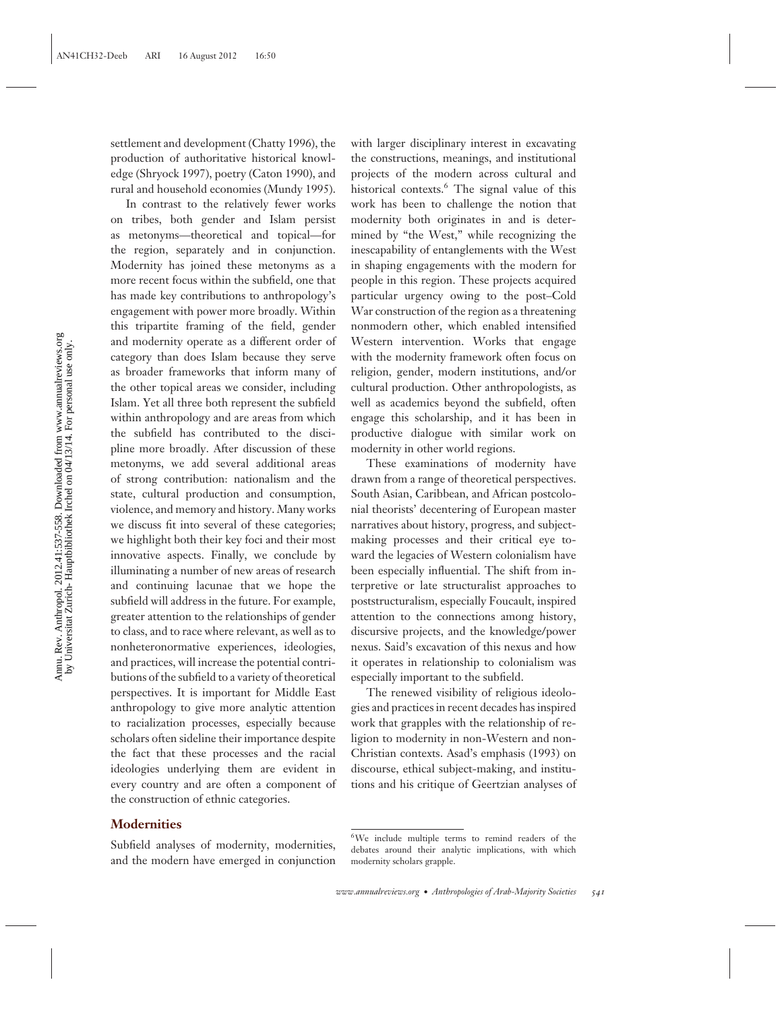settlement and development (Chatty 1996), the production of authoritative historical knowledge (Shryock 1997), poetry (Caton 1990), and rural and household economies (Mundy 1995).

In contrast to the relatively fewer works on tribes, both gender and Islam persist as metonyms—theoretical and topical—for the region, separately and in conjunction. Modernity has joined these metonyms as a more recent focus within the subfield, one that has made key contributions to anthropology's engagement with power more broadly. Within this tripartite framing of the field, gender and modernity operate as a different order of category than does Islam because they serve as broader frameworks that inform many of the other topical areas we consider, including Islam. Yet all three both represent the subfield within anthropology and are areas from which the subfield has contributed to the discipline more broadly. After discussion of these metonyms, we add several additional areas of strong contribution: nationalism and the state, cultural production and consumption, violence, and memory and history. Many works we discuss fit into several of these categories; we highlight both their key foci and their most innovative aspects. Finally, we conclude by illuminating a number of new areas of research and continuing lacunae that we hope the subfield will address in the future. For example, greater attention to the relationships of gender to class, and to race where relevant, as well as to nonheteronormative experiences, ideologies, and practices, will increase the potential contributions of the subfield to a variety of theoretical perspectives. It is important for Middle East anthropology to give more analytic attention to racialization processes, especially because scholars often sideline their importance despite the fact that these processes and the racial ideologies underlying them are evident in every country and are often a component of the construction of ethnic categories.

#### **Modernities**

Subfield analyses of modernity, modernities, and the modern have emerged in conjunction with larger disciplinary interest in excavating the constructions, meanings, and institutional projects of the modern across cultural and historical contexts.<sup>6</sup> The signal value of this work has been to challenge the notion that modernity both originates in and is determined by "the West," while recognizing the inescapability of entanglements with the West in shaping engagements with the modern for people in this region. These projects acquired particular urgency owing to the post–Cold War construction of the region as a threatening nonmodern other, which enabled intensified Western intervention. Works that engage with the modernity framework often focus on religion, gender, modern institutions, and/or cultural production. Other anthropologists, as well as academics beyond the subfield, often engage this scholarship, and it has been in productive dialogue with similar work on modernity in other world regions.

These examinations of modernity have drawn from a range of theoretical perspectives. South Asian, Caribbean, and African postcolonial theorists' decentering of European master narratives about history, progress, and subjectmaking processes and their critical eye toward the legacies of Western colonialism have been especially influential. The shift from interpretive or late structuralist approaches to poststructuralism, especially Foucault, inspired attention to the connections among history, discursive projects, and the knowledge/power nexus. Said's excavation of this nexus and how it operates in relationship to colonialism was especially important to the subfield.

The renewed visibility of religious ideologies and practices in recent decades has inspired work that grapples with the relationship of religion to modernity in non-Western and non-Christian contexts. Asad's emphasis (1993) on discourse, ethical subject-making, and institutions and his critique of Geertzian analyses of

<sup>6</sup>We include multiple terms to remind readers of the debates around their analytic implications, with which modernity scholars grapple.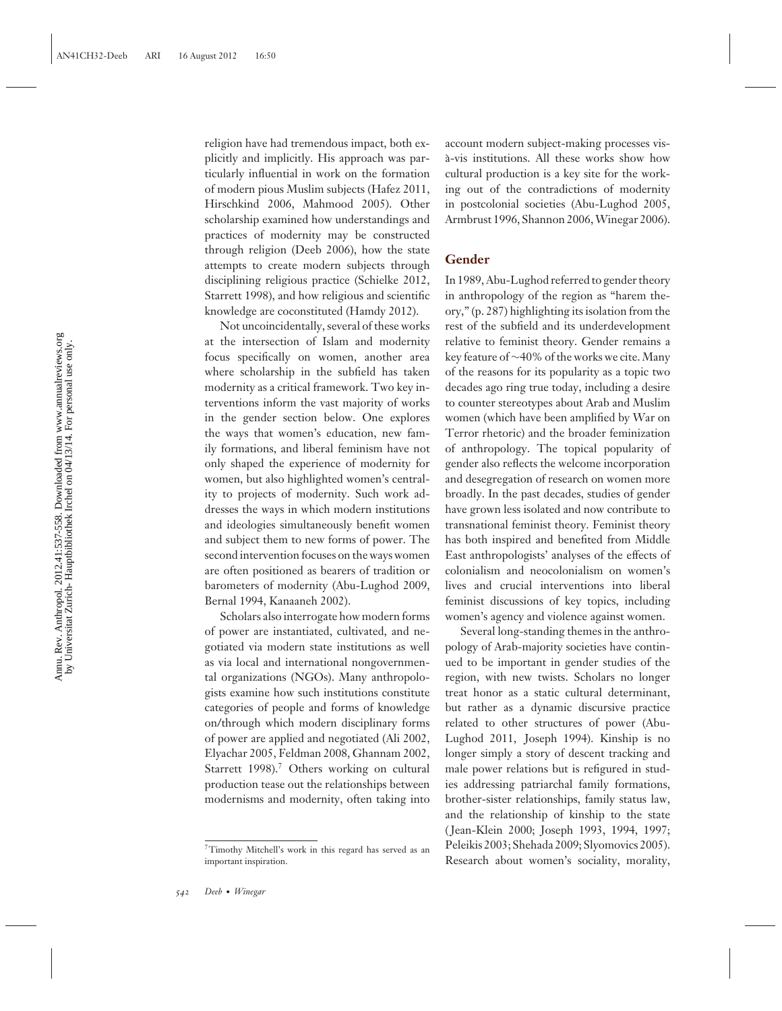religion have had tremendous impact, both explicitly and implicitly. His approach was particularly influential in work on the formation of modern pious Muslim subjects (Hafez 2011, Hirschkind 2006, Mahmood 2005). Other scholarship examined how understandings and practices of modernity may be constructed through religion (Deeb 2006), how the state attempts to create modern subjects through disciplining religious practice (Schielke 2012, Starrett 1998), and how religious and scientific knowledge are coconstituted (Hamdy 2012).

Not uncoincidentally, several of these works at the intersection of Islam and modernity focus specifically on women, another area where scholarship in the subfield has taken modernity as a critical framework. Two key interventions inform the vast majority of works in the gender section below. One explores the ways that women's education, new family formations, and liberal feminism have not only shaped the experience of modernity for women, but also highlighted women's centrality to projects of modernity. Such work addresses the ways in which modern institutions and ideologies simultaneously benefit women and subject them to new forms of power. The second intervention focuses on the ways women are often positioned as bearers of tradition or barometers of modernity (Abu-Lughod 2009, Bernal 1994, Kanaaneh 2002).

Scholars also interrogate how modern forms of power are instantiated, cultivated, and negotiated via modern state institutions as well as via local and international nongovernmental organizations (NGOs). Many anthropologists examine how such institutions constitute categories of people and forms of knowledge on/through which modern disciplinary forms of power are applied and negotiated (Ali 2002, Elyachar 2005, Feldman 2008, Ghannam 2002, Starrett 1998).<sup>7</sup> Others working on cultural production tease out the relationships between modernisms and modernity, often taking into

account modern subject-making processes visa-vis institutions. All these works show how ` cultural production is a key site for the working out of the contradictions of modernity in postcolonial societies (Abu-Lughod 2005, Armbrust 1996, Shannon 2006, Winegar 2006).

#### **Gender**

In 1989, Abu-Lughod referred to gender theory in anthropology of the region as "harem theory," (p. 287) highlighting its isolation from the rest of the subfield and its underdevelopment relative to feminist theory. Gender remains a key feature of ∼40% of the works we cite. Many of the reasons for its popularity as a topic two decades ago ring true today, including a desire to counter stereotypes about Arab and Muslim women (which have been amplified by War on Terror rhetoric) and the broader feminization of anthropology. The topical popularity of gender also reflects the welcome incorporation and desegregation of research on women more broadly. In the past decades, studies of gender have grown less isolated and now contribute to transnational feminist theory. Feminist theory has both inspired and benefited from Middle East anthropologists' analyses of the effects of colonialism and neocolonialism on women's lives and crucial interventions into liberal feminist discussions of key topics, including women's agency and violence against women.

Several long-standing themes in the anthropology of Arab-majority societies have continued to be important in gender studies of the region, with new twists. Scholars no longer treat honor as a static cultural determinant, but rather as a dynamic discursive practice related to other structures of power (Abu-Lughod 2011, Joseph 1994). Kinship is no longer simply a story of descent tracking and male power relations but is refigured in studies addressing patriarchal family formations, brother-sister relationships, family status law, and the relationship of kinship to the state ( Jean-Klein 2000; Joseph 1993, 1994, 1997; Peleikis 2003; Shehada 2009; Slyomovics 2005). Research about women's sociality, morality,

<sup>7</sup>Timothy Mitchell's work in this regard has served as an important inspiration.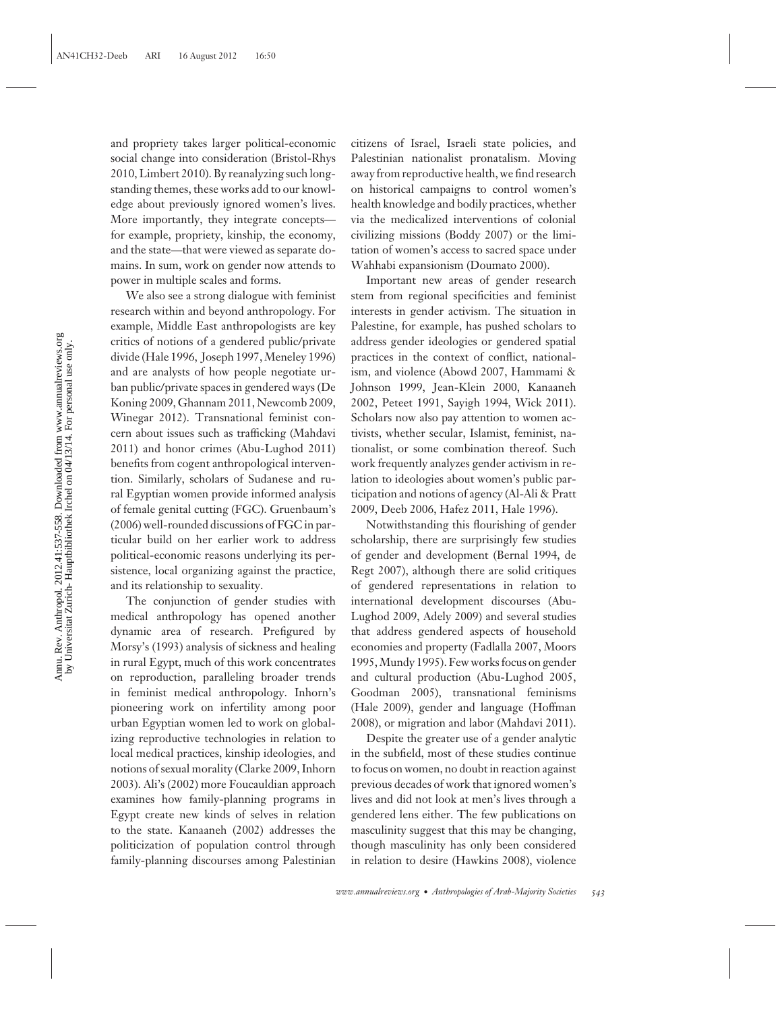and propriety takes larger political-economic social change into consideration (Bristol-Rhys 2010, Limbert 2010). By reanalyzing such longstanding themes, these works add to our knowledge about previously ignored women's lives. More importantly, they integrate concepts for example, propriety, kinship, the economy, and the state—that were viewed as separate domains. In sum, work on gender now attends to power in multiple scales and forms.

We also see a strong dialogue with feminist research within and beyond anthropology. For example, Middle East anthropologists are key critics of notions of a gendered public/private divide (Hale 1996, Joseph 1997, Meneley 1996) and are analysts of how people negotiate urban public/private spaces in gendered ways (De Koning 2009, Ghannam 2011, Newcomb 2009, Winegar 2012). Transnational feminist concern about issues such as trafficking (Mahdavi 2011) and honor crimes (Abu-Lughod 2011) benefits from cogent anthropological intervention. Similarly, scholars of Sudanese and rural Egyptian women provide informed analysis of female genital cutting (FGC). Gruenbaum's (2006) well-rounded discussions of FGC in particular build on her earlier work to address political-economic reasons underlying its persistence, local organizing against the practice, and its relationship to sexuality.

The conjunction of gender studies with medical anthropology has opened another dynamic area of research. Prefigured by Morsy's (1993) analysis of sickness and healing in rural Egypt, much of this work concentrates on reproduction, paralleling broader trends in feminist medical anthropology. Inhorn's pioneering work on infertility among poor urban Egyptian women led to work on globalizing reproductive technologies in relation to local medical practices, kinship ideologies, and notions of sexual morality (Clarke 2009, Inhorn 2003). Ali's (2002) more Foucauldian approach examines how family-planning programs in Egypt create new kinds of selves in relation to the state. Kanaaneh (2002) addresses the politicization of population control through family-planning discourses among Palestinian

citizens of Israel, Israeli state policies, and Palestinian nationalist pronatalism. Moving away from reproductive health, we find research on historical campaigns to control women's health knowledge and bodily practices, whether via the medicalized interventions of colonial civilizing missions (Boddy 2007) or the limitation of women's access to sacred space under Wahhabi expansionism (Doumato 2000).

Important new areas of gender research stem from regional specificities and feminist interests in gender activism. The situation in Palestine, for example, has pushed scholars to address gender ideologies or gendered spatial practices in the context of conflict, nationalism, and violence (Abowd 2007, Hammami & Johnson 1999, Jean-Klein 2000, Kanaaneh 2002, Peteet 1991, Sayigh 1994, Wick 2011). Scholars now also pay attention to women activists, whether secular, Islamist, feminist, nationalist, or some combination thereof. Such work frequently analyzes gender activism in relation to ideologies about women's public participation and notions of agency (Al-Ali & Pratt 2009, Deeb 2006, Hafez 2011, Hale 1996).

Notwithstanding this flourishing of gender scholarship, there are surprisingly few studies of gender and development (Bernal 1994, de Regt 2007), although there are solid critiques of gendered representations in relation to international development discourses (Abu-Lughod 2009, Adely 2009) and several studies that address gendered aspects of household economies and property (Fadlalla 2007, Moors 1995, Mundy 1995). Few works focus on gender and cultural production (Abu-Lughod 2005, Goodman 2005), transnational feminisms (Hale 2009), gender and language (Hoffman 2008), or migration and labor (Mahdavi 2011).

Despite the greater use of a gender analytic in the subfield, most of these studies continue to focus on women, no doubt in reaction against previous decades of work that ignored women's lives and did not look at men's lives through a gendered lens either. The few publications on masculinity suggest that this may be changing, though masculinity has only been considered in relation to desire (Hawkins 2008), violence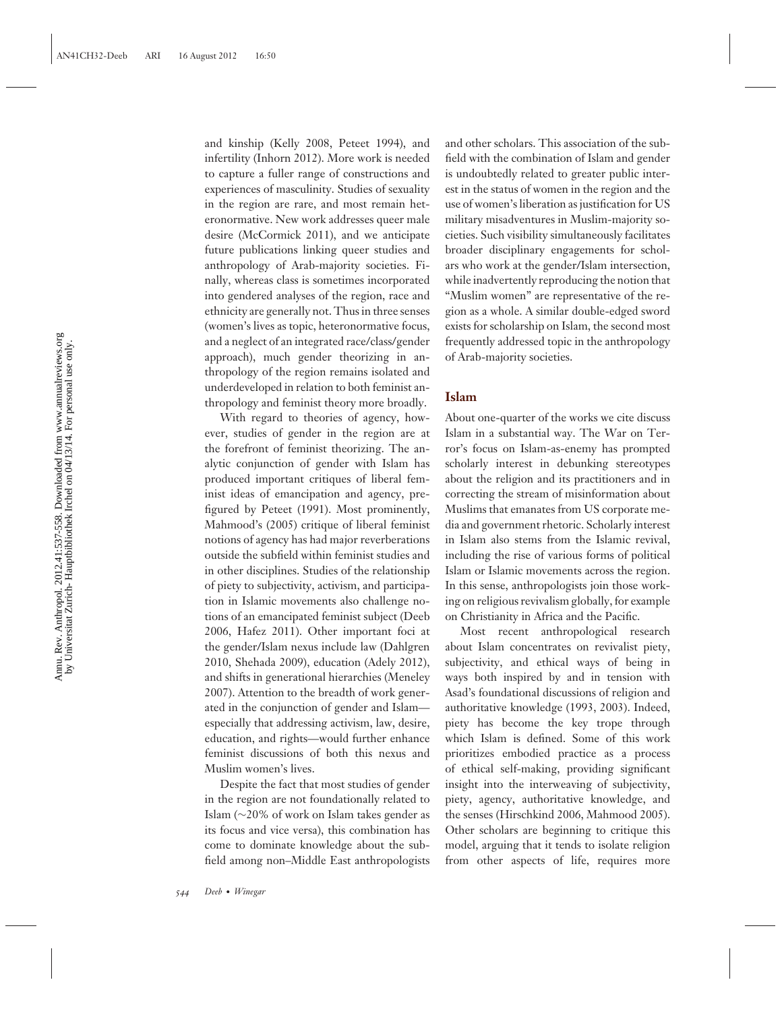and kinship (Kelly 2008, Peteet 1994), and infertility (Inhorn 2012). More work is needed to capture a fuller range of constructions and experiences of masculinity. Studies of sexuality in the region are rare, and most remain heteronormative. New work addresses queer male desire (McCormick 2011), and we anticipate future publications linking queer studies and anthropology of Arab-majority societies. Finally, whereas class is sometimes incorporated into gendered analyses of the region, race and ethnicity are generally not. Thus in three senses (women's lives as topic, heteronormative focus, and a neglect of an integrated race/class/gender approach), much gender theorizing in anthropology of the region remains isolated and underdeveloped in relation to both feminist anthropology and feminist theory more broadly.

With regard to theories of agency, however, studies of gender in the region are at the forefront of feminist theorizing. The analytic conjunction of gender with Islam has produced important critiques of liberal feminist ideas of emancipation and agency, prefigured by Peteet (1991). Most prominently, Mahmood's (2005) critique of liberal feminist notions of agency has had major reverberations outside the subfield within feminist studies and in other disciplines. Studies of the relationship of piety to subjectivity, activism, and participation in Islamic movements also challenge notions of an emancipated feminist subject (Deeb 2006, Hafez 2011). Other important foci at the gender/Islam nexus include law (Dahlgren 2010, Shehada 2009), education (Adely 2012), and shifts in generational hierarchies (Meneley 2007). Attention to the breadth of work generated in the conjunction of gender and Islam especially that addressing activism, law, desire, education, and rights—would further enhance feminist discussions of both this nexus and Muslim women's lives.

Despite the fact that most studies of gender in the region are not foundationally related to Islam (∼20% of work on Islam takes gender as its focus and vice versa), this combination has come to dominate knowledge about the subfield among non–Middle East anthropologists and other scholars. This association of the subfield with the combination of Islam and gender is undoubtedly related to greater public interest in the status of women in the region and the use of women's liberation as justification for US military misadventures in Muslim-majority societies. Such visibility simultaneously facilitates broader disciplinary engagements for scholars who work at the gender/Islam intersection, while inadvertently reproducing the notion that "Muslim women" are representative of the region as a whole. A similar double-edged sword exists for scholarship on Islam, the second most frequently addressed topic in the anthropology of Arab-majority societies.

#### **Islam**

About one-quarter of the works we cite discuss Islam in a substantial way. The War on Terror's focus on Islam-as-enemy has prompted scholarly interest in debunking stereotypes about the religion and its practitioners and in correcting the stream of misinformation about Muslims that emanates from US corporate media and government rhetoric. Scholarly interest in Islam also stems from the Islamic revival, including the rise of various forms of political Islam or Islamic movements across the region. In this sense, anthropologists join those working on religious revivalism globally, for example on Christianity in Africa and the Pacific.

Most recent anthropological research about Islam concentrates on revivalist piety, subjectivity, and ethical ways of being in ways both inspired by and in tension with Asad's foundational discussions of religion and authoritative knowledge (1993, 2003). Indeed, piety has become the key trope through which Islam is defined. Some of this work prioritizes embodied practice as a process of ethical self-making, providing significant insight into the interweaving of subjectivity, piety, agency, authoritative knowledge, and the senses (Hirschkind 2006, Mahmood 2005). Other scholars are beginning to critique this model, arguing that it tends to isolate religion from other aspects of life, requires more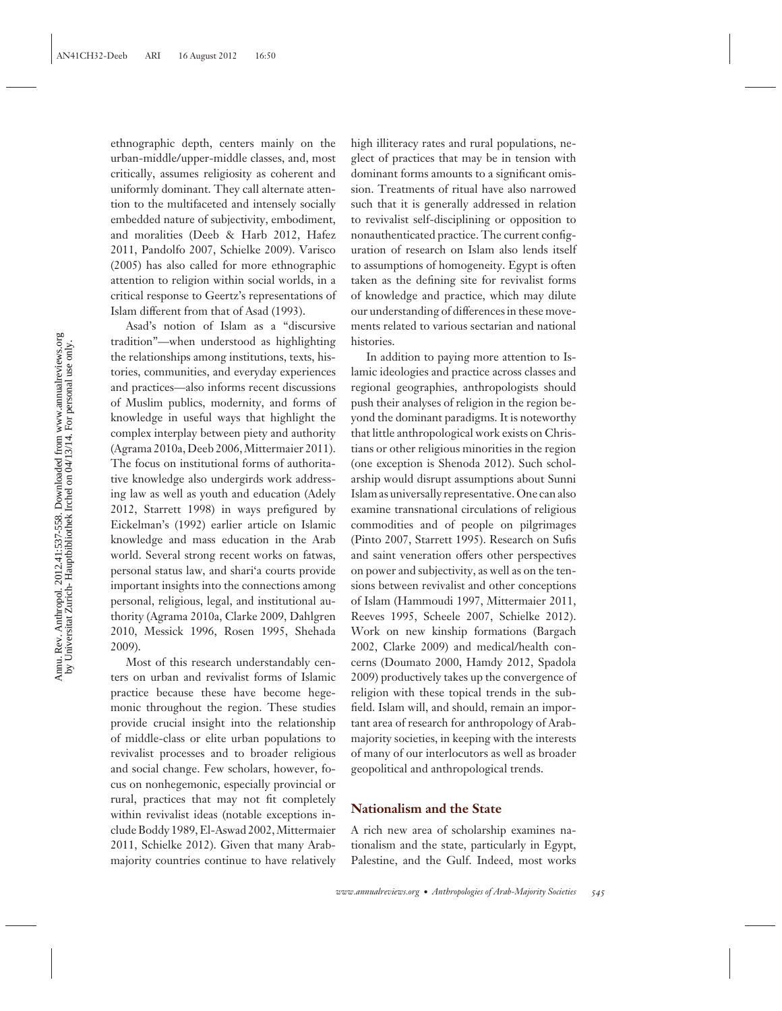ethnographic depth, centers mainly on the urban-middle/upper-middle classes, and, most critically, assumes religiosity as coherent and uniformly dominant. They call alternate attention to the multifaceted and intensely socially embedded nature of subjectivity, embodiment, and moralities (Deeb & Harb 2012, Hafez 2011, Pandolfo 2007, Schielke 2009). Varisco (2005) has also called for more ethnographic attention to religion within social worlds, in a critical response to Geertz's representations of Islam different from that of Asad (1993).

Asad's notion of Islam as a "discursive tradition"—when understood as highlighting the relationships among institutions, texts, histories, communities, and everyday experiences and practices—also informs recent discussions of Muslim publics, modernity, and forms of knowledge in useful ways that highlight the complex interplay between piety and authority (Agrama 2010a, Deeb 2006, Mittermaier 2011). The focus on institutional forms of authoritative knowledge also undergirds work addressing law as well as youth and education (Adely 2012, Starrett 1998) in ways prefigured by Eickelman's (1992) earlier article on Islamic knowledge and mass education in the Arab world. Several strong recent works on fatwas, personal status law, and shari'a courts provide important insights into the connections among personal, religious, legal, and institutional authority (Agrama 2010a, Clarke 2009, Dahlgren 2010, Messick 1996, Rosen 1995, Shehada 2009).

Most of this research understandably centers on urban and revivalist forms of Islamic practice because these have become hegemonic throughout the region. These studies provide crucial insight into the relationship of middle-class or elite urban populations to revivalist processes and to broader religious and social change. Few scholars, however, focus on nonhegemonic, especially provincial or rural, practices that may not fit completely within revivalist ideas (notable exceptions include Boddy 1989, El-Aswad 2002, Mittermaier 2011, Schielke 2012). Given that many Arabmajority countries continue to have relatively

high illiteracy rates and rural populations, neglect of practices that may be in tension with dominant forms amounts to a significant omission. Treatments of ritual have also narrowed such that it is generally addressed in relation to revivalist self-disciplining or opposition to nonauthenticated practice. The current configuration of research on Islam also lends itself to assumptions of homogeneity. Egypt is often taken as the defining site for revivalist forms of knowledge and practice, which may dilute our understanding of differences in these movements related to various sectarian and national histories.

In addition to paying more attention to Islamic ideologies and practice across classes and regional geographies, anthropologists should push their analyses of religion in the region beyond the dominant paradigms. It is noteworthy that little anthropological work exists on Christians or other religious minorities in the region (one exception is Shenoda 2012). Such scholarship would disrupt assumptions about Sunni Islam as universally representative. One can also examine transnational circulations of religious commodities and of people on pilgrimages (Pinto 2007, Starrett 1995). Research on Sufis and saint veneration offers other perspectives on power and subjectivity, as well as on the tensions between revivalist and other conceptions of Islam (Hammoudi 1997, Mittermaier 2011, Reeves 1995, Scheele 2007, Schielke 2012). Work on new kinship formations (Bargach 2002, Clarke 2009) and medical/health concerns (Doumato 2000, Hamdy 2012, Spadola 2009) productively takes up the convergence of religion with these topical trends in the subfield. Islam will, and should, remain an important area of research for anthropology of Arabmajority societies, in keeping with the interests of many of our interlocutors as well as broader geopolitical and anthropological trends.

#### **Nationalism and the State**

A rich new area of scholarship examines nationalism and the state, particularly in Egypt, Palestine, and the Gulf. Indeed, most works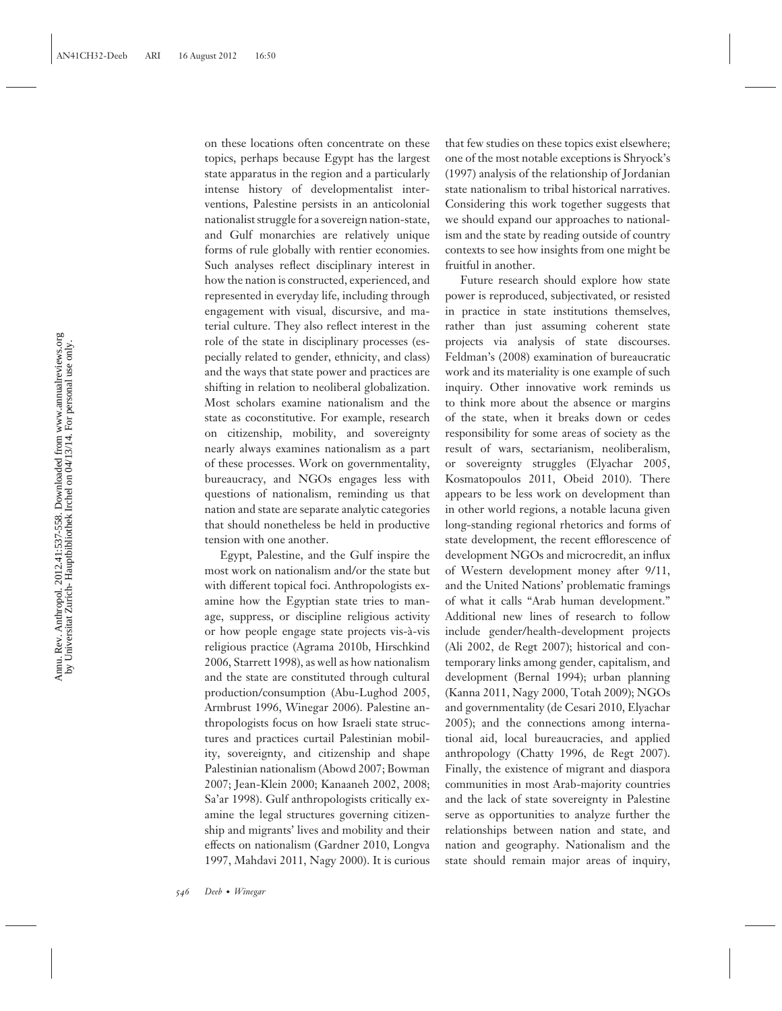on these locations often concentrate on these topics, perhaps because Egypt has the largest state apparatus in the region and a particularly intense history of developmentalist interventions, Palestine persists in an anticolonial nationalist struggle for a sovereign nation-state, and Gulf monarchies are relatively unique forms of rule globally with rentier economies. Such analyses reflect disciplinary interest in how the nation is constructed, experienced, and represented in everyday life, including through engagement with visual, discursive, and material culture. They also reflect interest in the role of the state in disciplinary processes (especially related to gender, ethnicity, and class) and the ways that state power and practices are shifting in relation to neoliberal globalization. Most scholars examine nationalism and the state as coconstitutive. For example, research on citizenship, mobility, and sovereignty nearly always examines nationalism as a part of these processes. Work on governmentality, bureaucracy, and NGOs engages less with questions of nationalism, reminding us that nation and state are separate analytic categories that should nonetheless be held in productive tension with one another.

Egypt, Palestine, and the Gulf inspire the most work on nationalism and/or the state but with different topical foci. Anthropologists examine how the Egyptian state tries to manage, suppress, or discipline religious activity or how people engage state projects vis-a-vis ` religious practice (Agrama 2010b, Hirschkind 2006, Starrett 1998), as well as how nationalism and the state are constituted through cultural production/consumption (Abu-Lughod 2005, Armbrust 1996, Winegar 2006). Palestine anthropologists focus on how Israeli state structures and practices curtail Palestinian mobility, sovereignty, and citizenship and shape Palestinian nationalism (Abowd 2007; Bowman 2007; Jean-Klein 2000; Kanaaneh 2002, 2008; Sa'ar 1998). Gulf anthropologists critically examine the legal structures governing citizenship and migrants' lives and mobility and their effects on nationalism (Gardner 2010, Longva 1997, Mahdavi 2011, Nagy 2000). It is curious that few studies on these topics exist elsewhere; one of the most notable exceptions is Shryock's (1997) analysis of the relationship of Jordanian state nationalism to tribal historical narratives. Considering this work together suggests that we should expand our approaches to nationalism and the state by reading outside of country contexts to see how insights from one might be fruitful in another.

Future research should explore how state power is reproduced, subjectivated, or resisted in practice in state institutions themselves, rather than just assuming coherent state projects via analysis of state discourses. Feldman's (2008) examination of bureaucratic work and its materiality is one example of such inquiry. Other innovative work reminds us to think more about the absence or margins of the state, when it breaks down or cedes responsibility for some areas of society as the result of wars, sectarianism, neoliberalism, or sovereignty struggles (Elyachar 2005, Kosmatopoulos 2011, Obeid 2010). There appears to be less work on development than in other world regions, a notable lacuna given long-standing regional rhetorics and forms of state development, the recent efflorescence of development NGOs and microcredit, an influx of Western development money after 9/11, and the United Nations' problematic framings of what it calls "Arab human development." Additional new lines of research to follow include gender/health-development projects (Ali 2002, de Regt 2007); historical and contemporary links among gender, capitalism, and development (Bernal 1994); urban planning (Kanna 2011, Nagy 2000, Totah 2009); NGOs and governmentality (de Cesari 2010, Elyachar 2005); and the connections among international aid, local bureaucracies, and applied anthropology (Chatty 1996, de Regt 2007). Finally, the existence of migrant and diaspora communities in most Arab-majority countries and the lack of state sovereignty in Palestine serve as opportunities to analyze further the relationships between nation and state, and nation and geography. Nationalism and the state should remain major areas of inquiry,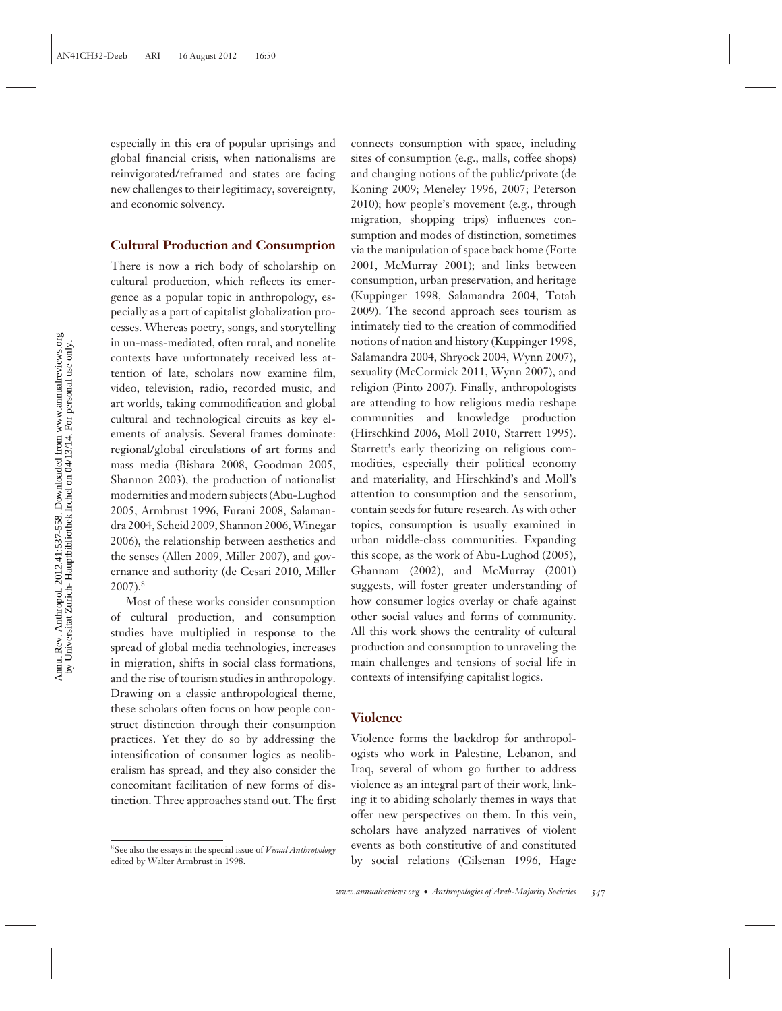#### **Cultural Production and Consumption**

There is now a rich body of scholarship on cultural production, which reflects its emergence as a popular topic in anthropology, especially as a part of capitalist globalization processes. Whereas poetry, songs, and storytelling in un-mass-mediated, often rural, and nonelite contexts have unfortunately received less attention of late, scholars now examine film, video, television, radio, recorded music, and art worlds, taking commodification and global cultural and technological circuits as key elements of analysis. Several frames dominate: regional/global circulations of art forms and mass media (Bishara 2008, Goodman 2005, Shannon 2003), the production of nationalist modernities and modern subjects (Abu-Lughod 2005, Armbrust 1996, Furani 2008, Salamandra 2004, Scheid 2009, Shannon 2006, Winegar 2006), the relationship between aesthetics and the senses (Allen 2009, Miller 2007), and governance and authority (de Cesari 2010, Miller  $2007$ ).<sup>8</sup>

Most of these works consider consumption of cultural production, and consumption studies have multiplied in response to the spread of global media technologies, increases in migration, shifts in social class formations, and the rise of tourism studies in anthropology. Drawing on a classic anthropological theme, these scholars often focus on how people construct distinction through their consumption practices. Yet they do so by addressing the intensification of consumer logics as neoliberalism has spread, and they also consider the concomitant facilitation of new forms of distinction. Three approaches stand out. The first

connects consumption with space, including sites of consumption (e.g., malls, coffee shops) and changing notions of the public/private (de Koning 2009; Meneley 1996, 2007; Peterson 2010); how people's movement (e.g., through migration, shopping trips) influences consumption and modes of distinction, sometimes via the manipulation of space back home (Forte 2001, McMurray 2001); and links between consumption, urban preservation, and heritage (Kuppinger 1998, Salamandra 2004, Totah 2009). The second approach sees tourism as intimately tied to the creation of commodified notions of nation and history (Kuppinger 1998, Salamandra 2004, Shryock 2004, Wynn 2007), sexuality (McCormick 2011, Wynn 2007), and religion (Pinto 2007). Finally, anthropologists are attending to how religious media reshape communities and knowledge production (Hirschkind 2006, Moll 2010, Starrett 1995). Starrett's early theorizing on religious commodities, especially their political economy and materiality, and Hirschkind's and Moll's attention to consumption and the sensorium, contain seeds for future research. As with other topics, consumption is usually examined in urban middle-class communities. Expanding this scope, as the work of Abu-Lughod (2005), Ghannam (2002), and McMurray (2001) suggests, will foster greater understanding of how consumer logics overlay or chafe against other social values and forms of community. All this work shows the centrality of cultural production and consumption to unraveling the main challenges and tensions of social life in contexts of intensifying capitalist logics.

#### **Violence**

Violence forms the backdrop for anthropologists who work in Palestine, Lebanon, and Iraq, several of whom go further to address violence as an integral part of their work, linking it to abiding scholarly themes in ways that offer new perspectives on them. In this vein, scholars have analyzed narratives of violent events as both constitutive of and constituted by social relations (Gilsenan 1996, Hage

<sup>8</sup>See also the essays in the special issue of *Visual Anthropology* edited by Walter Armbrust in 1998.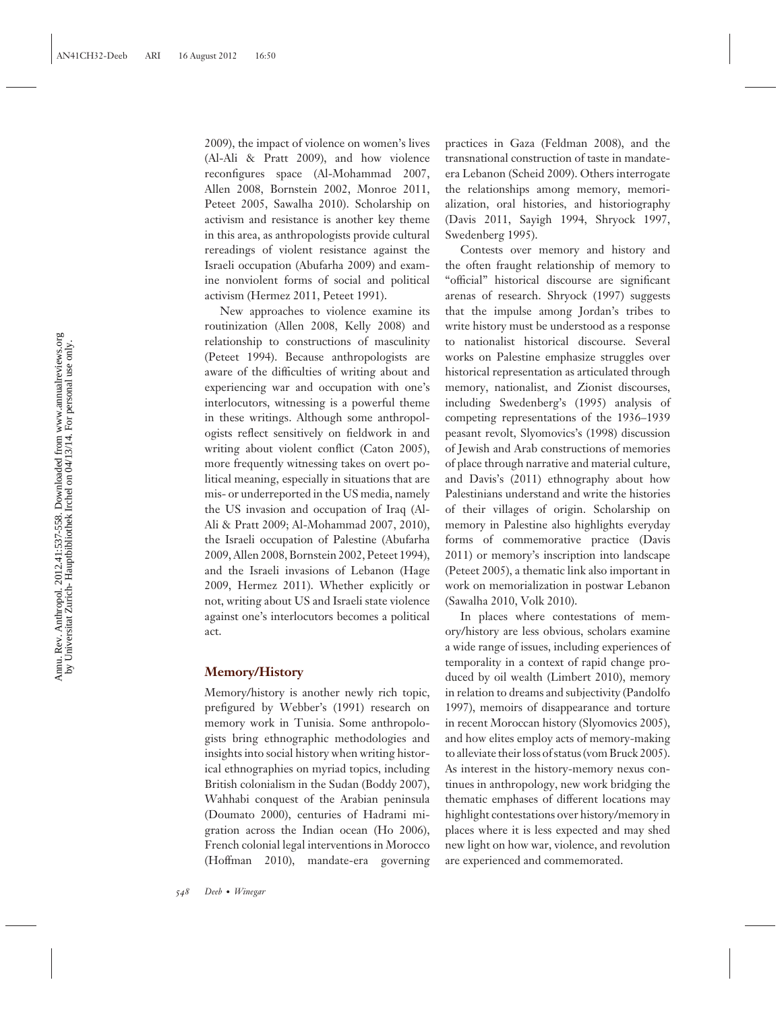2009), the impact of violence on women's lives (Al-Ali & Pratt 2009), and how violence reconfigures space (Al-Mohammad 2007, Allen 2008, Bornstein 2002, Monroe 2011, Peteet 2005, Sawalha 2010). Scholarship on activism and resistance is another key theme in this area, as anthropologists provide cultural rereadings of violent resistance against the Israeli occupation (Abufarha 2009) and examine nonviolent forms of social and political activism (Hermez 2011, Peteet 1991).

New approaches to violence examine its routinization (Allen 2008, Kelly 2008) and relationship to constructions of masculinity (Peteet 1994). Because anthropologists are aware of the difficulties of writing about and experiencing war and occupation with one's interlocutors, witnessing is a powerful theme in these writings. Although some anthropologists reflect sensitively on fieldwork in and writing about violent conflict (Caton 2005), more frequently witnessing takes on overt political meaning, especially in situations that are mis- or underreported in the US media, namely the US invasion and occupation of Iraq (Al-Ali & Pratt 2009; Al-Mohammad 2007, 2010), the Israeli occupation of Palestine (Abufarha 2009, Allen 2008, Bornstein 2002, Peteet 1994), and the Israeli invasions of Lebanon (Hage 2009, Hermez 2011). Whether explicitly or not, writing about US and Israeli state violence against one's interlocutors becomes a political act.

#### **Memory/History**

Memory/history is another newly rich topic, prefigured by Webber's (1991) research on memory work in Tunisia. Some anthropologists bring ethnographic methodologies and insights into social history when writing historical ethnographies on myriad topics, including British colonialism in the Sudan (Boddy 2007), Wahhabi conquest of the Arabian peninsula (Doumato 2000), centuries of Hadrami migration across the Indian ocean (Ho 2006), French colonial legal interventions in Morocco (Hoffman 2010), mandate-era governing practices in Gaza (Feldman 2008), and the transnational construction of taste in mandateera Lebanon (Scheid 2009). Others interrogate the relationships among memory, memorialization, oral histories, and historiography (Davis 2011, Sayigh 1994, Shryock 1997, Swedenberg 1995).

Contests over memory and history and the often fraught relationship of memory to "official" historical discourse are significant arenas of research. Shryock (1997) suggests that the impulse among Jordan's tribes to write history must be understood as a response to nationalist historical discourse. Several works on Palestine emphasize struggles over historical representation as articulated through memory, nationalist, and Zionist discourses, including Swedenberg's (1995) analysis of competing representations of the 1936–1939 peasant revolt, Slyomovics's (1998) discussion of Jewish and Arab constructions of memories of place through narrative and material culture, and Davis's (2011) ethnography about how Palestinians understand and write the histories of their villages of origin. Scholarship on memory in Palestine also highlights everyday forms of commemorative practice (Davis 2011) or memory's inscription into landscape (Peteet 2005), a thematic link also important in work on memorialization in postwar Lebanon (Sawalha 2010, Volk 2010).

In places where contestations of memory/history are less obvious, scholars examine a wide range of issues, including experiences of temporality in a context of rapid change produced by oil wealth (Limbert 2010), memory in relation to dreams and subjectivity (Pandolfo 1997), memoirs of disappearance and torture in recent Moroccan history (Slyomovics 2005), and how elites employ acts of memory-making to alleviate their loss of status (vom Bruck 2005). As interest in the history-memory nexus continues in anthropology, new work bridging the thematic emphases of different locations may highlight contestations over history/memory in places where it is less expected and may shed new light on how war, violence, and revolution are experienced and commemorated.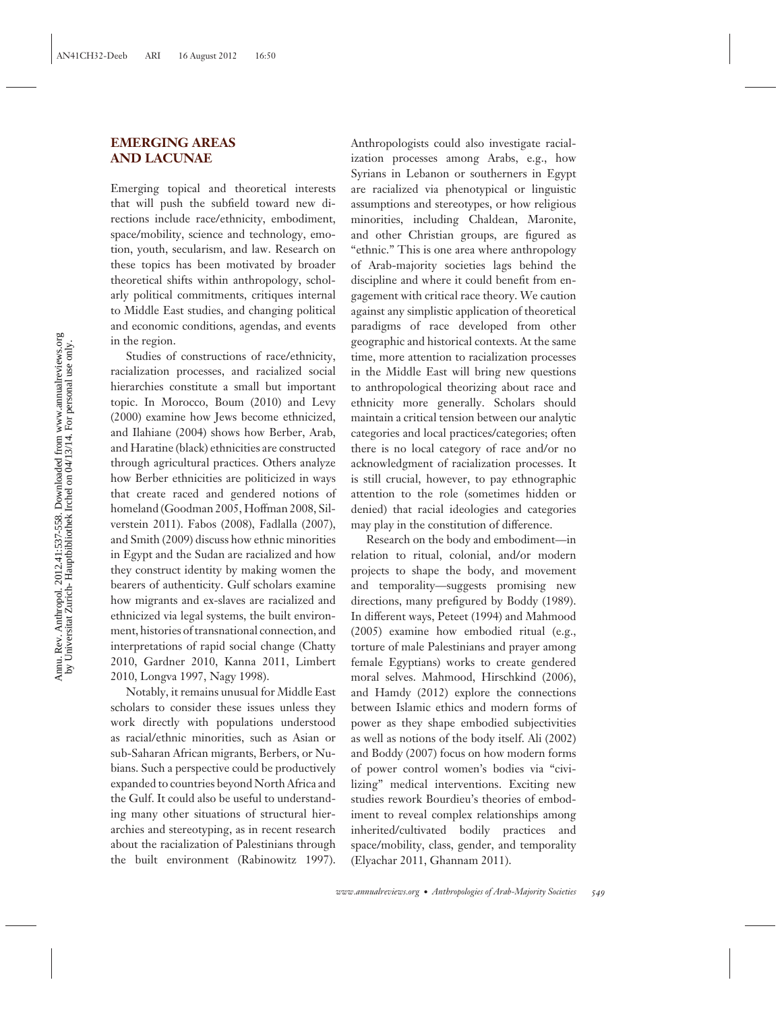#### **EMERGING AREAS AND LACUNAE**

Emerging topical and theoretical interests that will push the subfield toward new directions include race/ethnicity, embodiment, space/mobility, science and technology, emotion, youth, secularism, and law. Research on these topics has been motivated by broader theoretical shifts within anthropology, scholarly political commitments, critiques internal to Middle East studies, and changing political and economic conditions, agendas, and events in the region.

Studies of constructions of race/ethnicity, racialization processes, and racialized social hierarchies constitute a small but important topic. In Morocco, Boum (2010) and Levy (2000) examine how Jews become ethnicized, and Ilahiane (2004) shows how Berber, Arab, and Haratine (black) ethnicities are constructed through agricultural practices. Others analyze how Berber ethnicities are politicized in ways that create raced and gendered notions of homeland (Goodman 2005, Hoffman 2008, Silverstein 2011). Fabos (2008), Fadlalla (2007), and Smith (2009) discuss how ethnic minorities in Egypt and the Sudan are racialized and how they construct identity by making women the bearers of authenticity. Gulf scholars examine how migrants and ex-slaves are racialized and ethnicized via legal systems, the built environment, histories of transnational connection, and interpretations of rapid social change (Chatty 2010, Gardner 2010, Kanna 2011, Limbert 2010, Longva 1997, Nagy 1998).

Notably, it remains unusual for Middle East scholars to consider these issues unless they work directly with populations understood as racial/ethnic minorities, such as Asian or sub-Saharan African migrants, Berbers, or Nubians. Such a perspective could be productively expanded to countries beyond North Africa and the Gulf. It could also be useful to understanding many other situations of structural hierarchies and stereotyping, as in recent research about the racialization of Palestinians through the built environment (Rabinowitz 1997). Anthropologists could also investigate racialization processes among Arabs, e.g., how Syrians in Lebanon or southerners in Egypt are racialized via phenotypical or linguistic assumptions and stereotypes, or how religious minorities, including Chaldean, Maronite, and other Christian groups, are figured as "ethnic." This is one area where anthropology of Arab-majority societies lags behind the discipline and where it could benefit from engagement with critical race theory. We caution against any simplistic application of theoretical paradigms of race developed from other geographic and historical contexts. At the same time, more attention to racialization processes in the Middle East will bring new questions to anthropological theorizing about race and ethnicity more generally. Scholars should maintain a critical tension between our analytic categories and local practices/categories; often there is no local category of race and/or no acknowledgment of racialization processes. It is still crucial, however, to pay ethnographic attention to the role (sometimes hidden or denied) that racial ideologies and categories may play in the constitution of difference.

Research on the body and embodiment—in relation to ritual, colonial, and/or modern projects to shape the body, and movement and temporality—suggests promising new directions, many prefigured by Boddy (1989). In different ways, Peteet (1994) and Mahmood (2005) examine how embodied ritual (e.g., torture of male Palestinians and prayer among female Egyptians) works to create gendered moral selves. Mahmood, Hirschkind (2006), and Hamdy (2012) explore the connections between Islamic ethics and modern forms of power as they shape embodied subjectivities as well as notions of the body itself. Ali (2002) and Boddy (2007) focus on how modern forms of power control women's bodies via "civilizing" medical interventions. Exciting new studies rework Bourdieu's theories of embodiment to reveal complex relationships among inherited/cultivated bodily practices and space/mobility, class, gender, and temporality (Elyachar 2011, Ghannam 2011).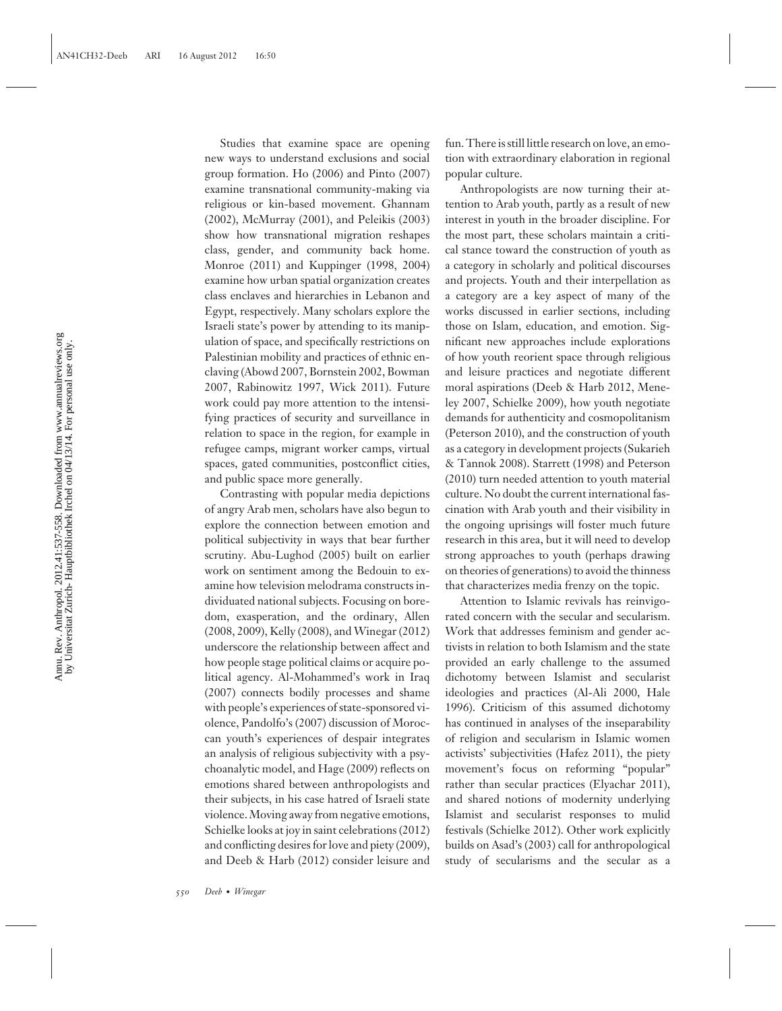Studies that examine space are opening new ways to understand exclusions and social group formation. Ho (2006) and Pinto (2007) examine transnational community-making via religious or kin-based movement. Ghannam (2002), McMurray (2001), and Peleikis (2003) show how transnational migration reshapes class, gender, and community back home. Monroe (2011) and Kuppinger (1998, 2004) examine how urban spatial organization creates class enclaves and hierarchies in Lebanon and Egypt, respectively. Many scholars explore the Israeli state's power by attending to its manipulation of space, and specifically restrictions on Palestinian mobility and practices of ethnic enclaving (Abowd 2007, Bornstein 2002, Bowman 2007, Rabinowitz 1997, Wick 2011). Future work could pay more attention to the intensifying practices of security and surveillance in relation to space in the region, for example in refugee camps, migrant worker camps, virtual spaces, gated communities, postconflict cities, and public space more generally.

Contrasting with popular media depictions of angry Arab men, scholars have also begun to explore the connection between emotion and political subjectivity in ways that bear further scrutiny. Abu-Lughod (2005) built on earlier work on sentiment among the Bedouin to examine how television melodrama constructs individuated national subjects. Focusing on boredom, exasperation, and the ordinary, Allen (2008, 2009), Kelly (2008), and Winegar (2012) underscore the relationship between affect and how people stage political claims or acquire political agency. Al-Mohammed's work in Iraq (2007) connects bodily processes and shame with people's experiences of state-sponsored violence, Pandolfo's (2007) discussion of Moroccan youth's experiences of despair integrates an analysis of religious subjectivity with a psychoanalytic model, and Hage (2009) reflects on emotions shared between anthropologists and their subjects, in his case hatred of Israeli state violence. Moving away from negative emotions, Schielke looks at joy in saint celebrations (2012) and conflicting desires for love and piety (2009), and Deeb & Harb (2012) consider leisure and

fun. There is still little research on love, an emotion with extraordinary elaboration in regional popular culture.

Anthropologists are now turning their attention to Arab youth, partly as a result of new interest in youth in the broader discipline. For the most part, these scholars maintain a critical stance toward the construction of youth as a category in scholarly and political discourses and projects. Youth and their interpellation as a category are a key aspect of many of the works discussed in earlier sections, including those on Islam, education, and emotion. Significant new approaches include explorations of how youth reorient space through religious and leisure practices and negotiate different moral aspirations (Deeb & Harb 2012, Meneley 2007, Schielke 2009), how youth negotiate demands for authenticity and cosmopolitanism (Peterson 2010), and the construction of youth as a category in development projects (Sukarieh & Tannok 2008). Starrett (1998) and Peterson (2010) turn needed attention to youth material culture. No doubt the current international fascination with Arab youth and their visibility in the ongoing uprisings will foster much future research in this area, but it will need to develop strong approaches to youth (perhaps drawing on theories of generations) to avoid the thinness that characterizes media frenzy on the topic.

Attention to Islamic revivals has reinvigorated concern with the secular and secularism. Work that addresses feminism and gender activists in relation to both Islamism and the state provided an early challenge to the assumed dichotomy between Islamist and secularist ideologies and practices (Al-Ali 2000, Hale 1996). Criticism of this assumed dichotomy has continued in analyses of the inseparability of religion and secularism in Islamic women activists' subjectivities (Hafez 2011), the piety movement's focus on reforming "popular" rather than secular practices (Elyachar 2011), and shared notions of modernity underlying Islamist and secularist responses to mulid festivals (Schielke 2012). Other work explicitly builds on Asad's (2003) call for anthropological study of secularisms and the secular as a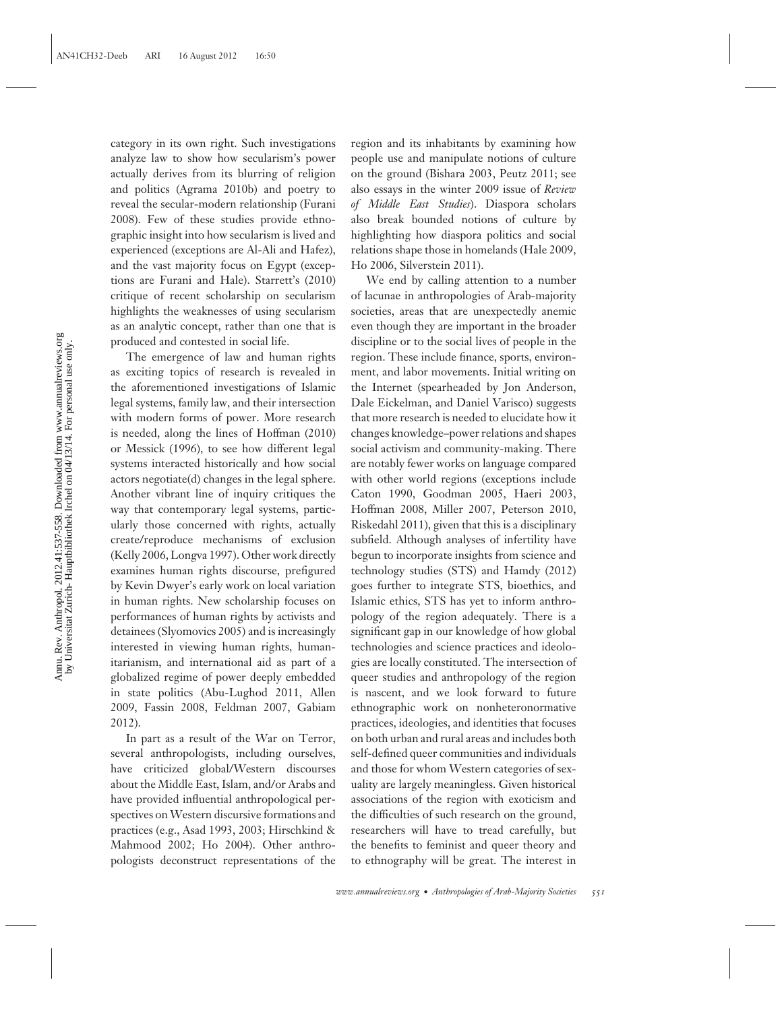Annu. Rev. Anthropol. 2012.41:537-558. Downloaded from www.annualreviews.org<br>by Universitat Zurich-Hauptbibliothek Irchel on 04/13/14. For personal use only. Annu. Rev. Anthropol. 2012.41:537-558. Downloaded from www.annualreviews.org by Universitat Zurich- Hauptbibliothek Irchel on 04/13/14. For personal use only.

category in its own right. Such investigations analyze law to show how secularism's power actually derives from its blurring of religion and politics (Agrama 2010b) and poetry to reveal the secular-modern relationship (Furani 2008). Few of these studies provide ethnographic insight into how secularism is lived and experienced (exceptions are Al-Ali and Hafez), and the vast majority focus on Egypt (exceptions are Furani and Hale). Starrett's (2010) critique of recent scholarship on secularism highlights the weaknesses of using secularism as an analytic concept, rather than one that is produced and contested in social life.

The emergence of law and human rights as exciting topics of research is revealed in the aforementioned investigations of Islamic legal systems, family law, and their intersection with modern forms of power. More research is needed, along the lines of Hoffman (2010) or Messick (1996), to see how different legal systems interacted historically and how social actors negotiate(d) changes in the legal sphere. Another vibrant line of inquiry critiques the way that contemporary legal systems, particularly those concerned with rights, actually create/reproduce mechanisms of exclusion (Kelly 2006, Longva 1997). Other work directly examines human rights discourse, prefigured by Kevin Dwyer's early work on local variation in human rights. New scholarship focuses on performances of human rights by activists and detainees (Slyomovics 2005) and is increasingly interested in viewing human rights, humanitarianism, and international aid as part of a globalized regime of power deeply embedded in state politics (Abu-Lughod 2011, Allen 2009, Fassin 2008, Feldman 2007, Gabiam 2012).

In part as a result of the War on Terror, several anthropologists, including ourselves, have criticized global/Western discourses about the Middle East, Islam, and/or Arabs and have provided influential anthropological perspectives on Western discursive formations and practices (e.g., Asad 1993, 2003; Hirschkind & Mahmood 2002; Ho 2004). Other anthropologists deconstruct representations of the

region and its inhabitants by examining how people use and manipulate notions of culture on the ground (Bishara 2003, Peutz 2011; see also essays in the winter 2009 issue of *Review of Middle East Studies*). Diaspora scholars also break bounded notions of culture by highlighting how diaspora politics and social relations shape those in homelands (Hale 2009, Ho 2006, Silverstein 2011).

We end by calling attention to a number of lacunae in anthropologies of Arab-majority societies, areas that are unexpectedly anemic even though they are important in the broader discipline or to the social lives of people in the region. These include finance, sports, environment, and labor movements. Initial writing on the Internet (spearheaded by Jon Anderson, Dale Eickelman, and Daniel Varisco) suggests that more research is needed to elucidate how it changes knowledge–power relations and shapes social activism and community-making. There are notably fewer works on language compared with other world regions (exceptions include Caton 1990, Goodman 2005, Haeri 2003, Hoffman 2008, Miller 2007, Peterson 2010, Riskedahl 2011), given that this is a disciplinary subfield. Although analyses of infertility have begun to incorporate insights from science and technology studies (STS) and Hamdy (2012) goes further to integrate STS, bioethics, and Islamic ethics, STS has yet to inform anthropology of the region adequately. There is a significant gap in our knowledge of how global technologies and science practices and ideologies are locally constituted. The intersection of queer studies and anthropology of the region is nascent, and we look forward to future ethnographic work on nonheteronormative practices, ideologies, and identities that focuses on both urban and rural areas and includes both self-defined queer communities and individuals and those for whom Western categories of sexuality are largely meaningless. Given historical associations of the region with exoticism and the difficulties of such research on the ground, researchers will have to tread carefully, but the benefits to feminist and queer theory and to ethnography will be great. The interest in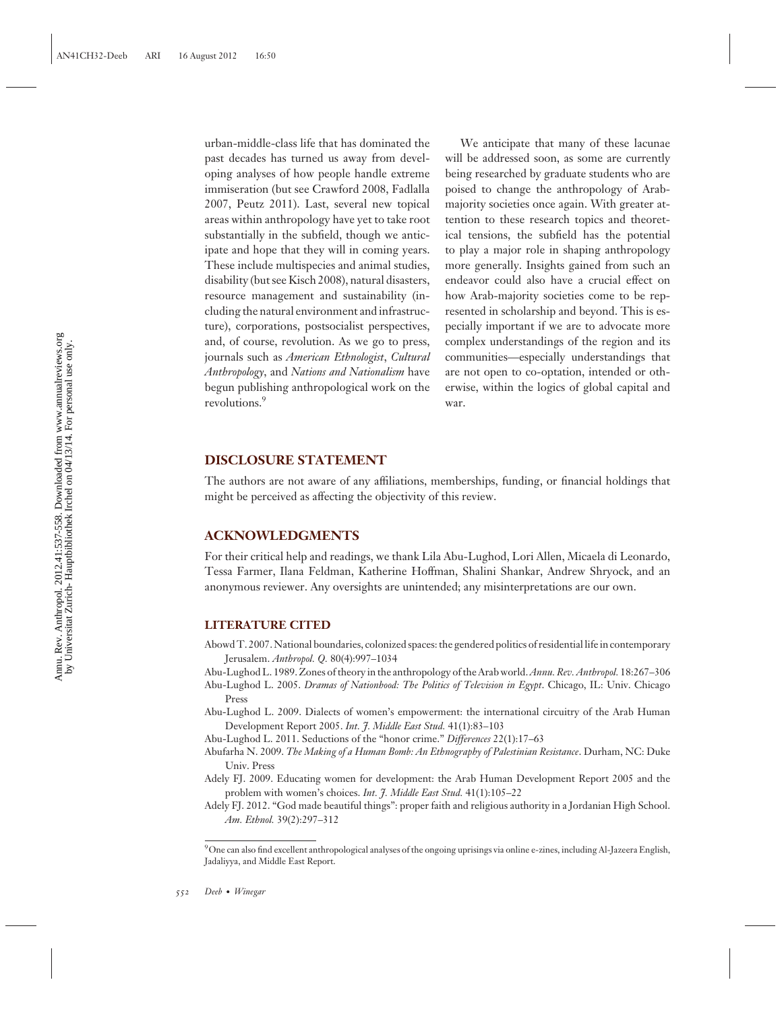urban-middle-class life that has dominated the past decades has turned us away from developing analyses of how people handle extreme immiseration (but see Crawford 2008, Fadlalla 2007, Peutz 2011). Last, several new topical areas within anthropology have yet to take root substantially in the subfield, though we anticipate and hope that they will in coming years. These include multispecies and animal studies, disability (but see Kisch 2008), natural disasters, resource management and sustainability (including the natural environment and infrastructure), corporations, postsocialist perspectives, and, of course, revolution. As we go to press, journals such as *American Ethnologist*, *Cultural Anthropology*, and *Nations and Nationalism* have begun publishing anthropological work on the revolutions.<sup>9</sup>

We anticipate that many of these lacunae will be addressed soon, as some are currently being researched by graduate students who are poised to change the anthropology of Arabmajority societies once again. With greater attention to these research topics and theoretical tensions, the subfield has the potential to play a major role in shaping anthropology more generally. Insights gained from such an endeavor could also have a crucial effect on how Arab-majority societies come to be represented in scholarship and beyond. This is especially important if we are to advocate more complex understandings of the region and its communities—especially understandings that are not open to co-optation, intended or otherwise, within the logics of global capital and war.

#### **DISCLOSURE STATEMENT**

The authors are not aware of any affiliations, memberships, funding, or financial holdings that might be perceived as affecting the objectivity of this review.

#### **ACKNOWLEDGMENTS**

For their critical help and readings, we thank Lila Abu-Lughod, Lori Allen, Micaela di Leonardo, Tessa Farmer, Ilana Feldman, Katherine Hoffman, Shalini Shankar, Andrew Shryock, and an anonymous reviewer. Any oversights are unintended; any misinterpretations are our own.

#### **LITERATURE CITED**

Abowd T. 2007. National boundaries, colonized spaces: the gendered politics of residential life in contemporary Jerusalem. *Anthropol. Q.* 80(4):997–1034

Abu-Lughod L. 1989. Zones of theory in the anthropology of the Arab world.*Annu. Rev. Anthropol.* 18:267–306 Abu-Lughod L. 2005. *Dramas of Nationhood: The Politics of Television in Egypt*. Chicago, IL: Univ. Chicago

- Press
- Abu-Lughod L. 2009. Dialects of women's empowerment: the international circuitry of the Arab Human Development Report 2005. *Int. J. Middle East Stud.* 41(1):83–103

Abu-Lughod L. 2011. Seductions of the "honor crime." *Differences* 22(1):17–63

- Abufarha N. 2009. *The Making of a Human Bomb: An Ethnography of Palestinian Resistance*. Durham, NC: Duke Univ. Press
- Adely FJ. 2009. Educating women for development: the Arab Human Development Report 2005 and the problem with women's choices. *Int. J. Middle East Stud.* 41(1):105–22

Adely FJ. 2012. "God made beautiful things": proper faith and religious authority in a Jordanian High School. *Am. Ethnol.* 39(2):297–312

<sup>9</sup>One can also find excellent anthropological analyses of the ongoing uprisings via online e-zines, including Al-Jazeera English, Jadaliyya, and Middle East Report.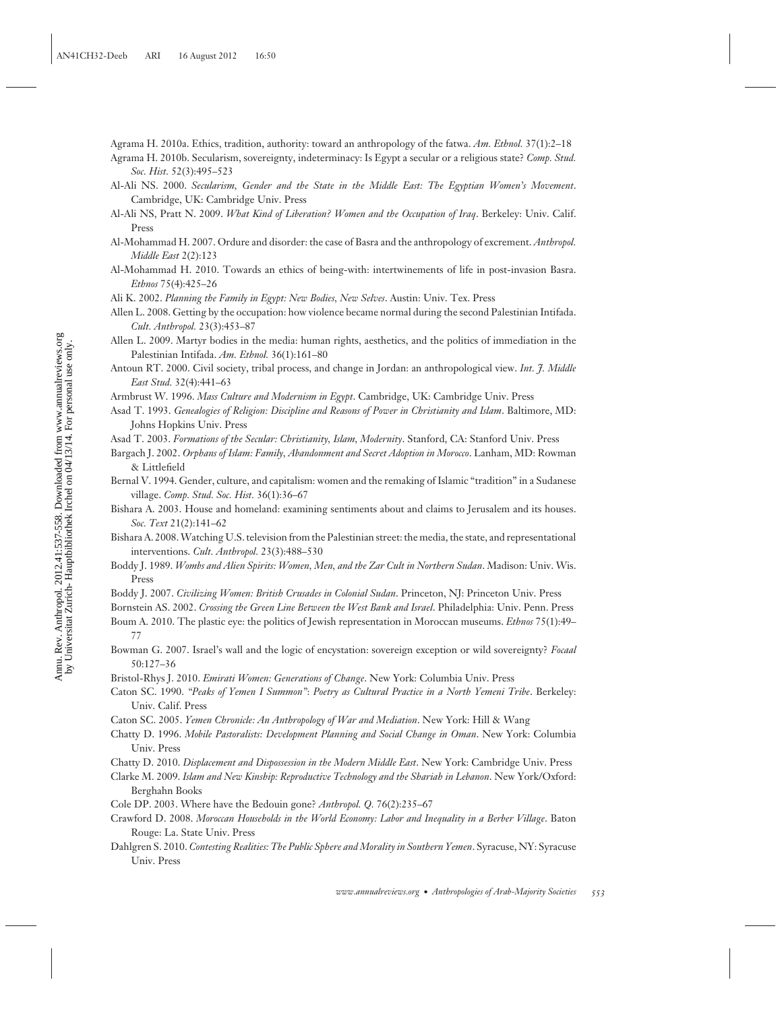- Agrama H. 2010a. Ethics, tradition, authority: toward an anthropology of the fatwa. *Am. Ethnol.* 37(1):2–18
- Agrama H. 2010b. Secularism, sovereignty, indeterminacy: Is Egypt a secular or a religious state? *Comp. Stud. Soc. Hist.* 52(3):495–523
- Al-Ali NS. 2000. *Secularism, Gender and the State in the Middle East: The Egyptian Women's Movement*. Cambridge, UK: Cambridge Univ. Press
- Al-Ali NS, Pratt N. 2009. *What Kind of Liberation? Women and the Occupation of Iraq*. Berkeley: Univ. Calif. Press
- Al-Mohammad H. 2007. Ordure and disorder: the case of Basra and the anthropology of excrement. *Anthropol. Middle East* 2(2):123
- Al-Mohammad H. 2010. Towards an ethics of being-with: intertwinements of life in post-invasion Basra. *Ethnos* 75(4):425–26
- Ali K. 2002. *Planning the Family in Egypt: New Bodies, New Selves*. Austin: Univ. Tex. Press
- Allen L. 2008. Getting by the occupation: how violence became normal during the second Palestinian Intifada. *Cult. Anthropol.* 23(3):453–87
- Allen L. 2009. Martyr bodies in the media: human rights, aesthetics, and the politics of immediation in the Palestinian Intifada. *Am. Ethnol.* 36(1):161–80
- Antoun RT. 2000. Civil society, tribal process, and change in Jordan: an anthropological view. *Int. J. Middle East Stud.* 32(4):441–63
- Armbrust W. 1996. *Mass Culture and Modernism in Egypt*. Cambridge, UK: Cambridge Univ. Press
- Asad T. 1993. *Genealogies of Religion: Discipline and Reasons of Power in Christianity and Islam*. Baltimore, MD: Johns Hopkins Univ. Press
- Asad T. 2003. *Formations of the Secular: Christianity, Islam, Modernity*. Stanford, CA: Stanford Univ. Press
- Bargach J. 2002. *Orphans of Islam: Family, Abandonment and Secret Adoption in Morocco*. Lanham, MD: Rowman & Littlefield
- Bernal V. 1994. Gender, culture, and capitalism: women and the remaking of Islamic "tradition" in a Sudanese village. *Comp. Stud. Soc. Hist.* 36(1):36–67
- Bishara A. 2003. House and homeland: examining sentiments about and claims to Jerusalem and its houses. *Soc. Text* 21(2):141–62
- Bishara A. 2008. Watching U.S. television from the Palestinian street: the media, the state, and representational interventions. *Cult. Anthropol.* 23(3):488–530
- Boddy J. 1989. *Wombs and Alien Spirits: Women, Men, and the Zar Cult in Northern Sudan*. Madison: Univ. Wis. Press
- Boddy J. 2007. *Civilizing Women: British Crusades in Colonial Sudan*. Princeton, NJ: Princeton Univ. Press
- Bornstein AS. 2002. *Crossing the Green Line Between the West Bank and Israel*. Philadelphia: Univ. Penn. Press
- Boum A. 2010. The plastic eye: the politics of Jewish representation in Moroccan museums. *Ethnos* 75(1):49– 77
- Bowman G. 2007. Israel's wall and the logic of encystation: sovereign exception or wild sovereignty? *Focaal* 50:127–36
- Bristol-Rhys J. 2010. *Emirati Women: Generations of Change*. New York: Columbia Univ. Press
- Caton SC. 1990. *"Peaks of Yemen I Summon"*: *Poetry as Cultural Practice in a North Yemeni Tribe*. Berkeley: Univ. Calif. Press
- Caton SC. 2005. *Yemen Chronicle: An Anthropology of War and Mediation*. New York: Hill & Wang
- Chatty D. 1996. *Mobile Pastoralists: Development Planning and Social Change in Oman*. New York: Columbia Univ. Press
- Chatty D. 2010. *Displacement and Dispossession in the Modern Middle East*. New York: Cambridge Univ. Press
- Clarke M. 2009. *Islam and New Kinship: Reproductive Technology and the Shariah in Lebanon*. New York/Oxford: Berghahn Books
- Cole DP. 2003. Where have the Bedouin gone? *Anthropol. Q.* 76(2):235–67
- Crawford D. 2008. *Moroccan Households in the World Economy: Labor and Inequality in a Berber Village*. Baton Rouge: La. State Univ. Press
- Dahlgren S. 2010. *Contesting Realities: The Public Sphere and Morality in Southern Yemen*. Syracuse, NY: Syracuse Univ. Press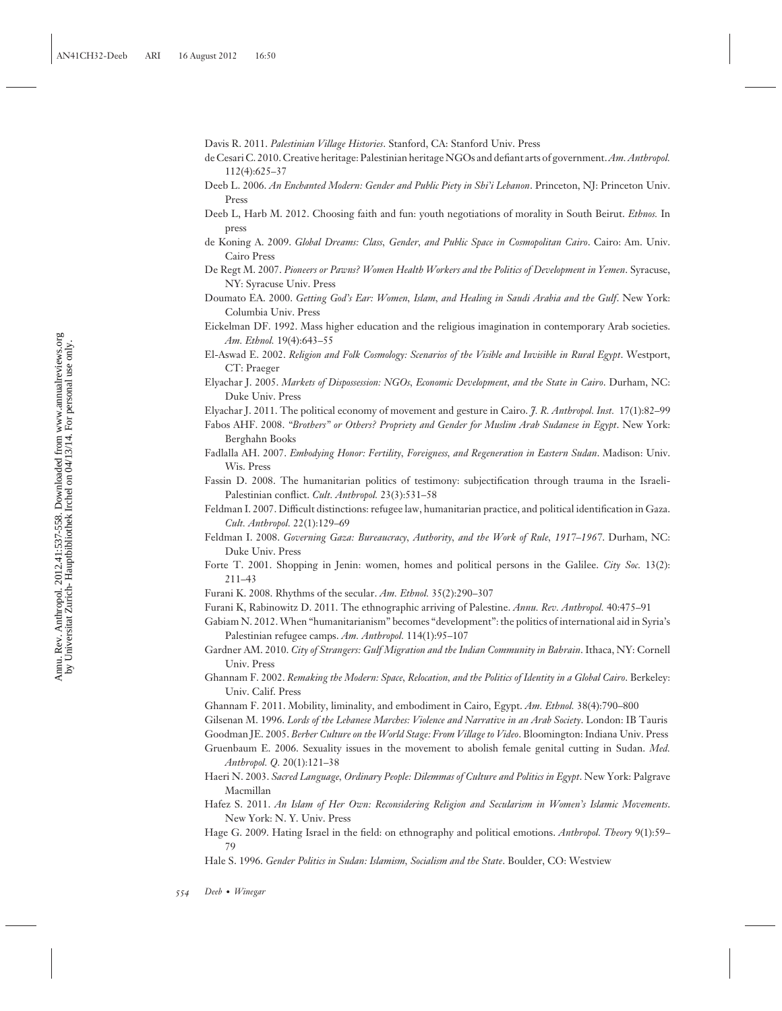Davis R. 2011. *Palestinian Village Histories*. Stanford, CA: Stanford Univ. Press

- de Cesari C. 2010. Creative heritage: Palestinian heritage NGOs and defiant arts of government.*Am. Anthropol.* 112(4):625–37
- Deeb L. 2006. *An Enchanted Modern: Gender and Public Piety in Shi'i Lebanon*. Princeton, NJ: Princeton Univ. Press
- Deeb L, Harb M. 2012. Choosing faith and fun: youth negotiations of morality in South Beirut. *Ethnos.* In press
- de Koning A. 2009. *Global Dreams: Class, Gender, and Public Space in Cosmopolitan Cairo*. Cairo: Am. Univ. Cairo Press
- De Regt M. 2007. *Pioneers or Pawns? Women Health Workers and the Politics of Development in Yemen*. Syracuse, NY: Syracuse Univ. Press
- Doumato EA. 2000. *Getting God's Ear: Women, Islam, and Healing in Saudi Arabia and the Gulf*. New York: Columbia Univ. Press
- Eickelman DF. 1992. Mass higher education and the religious imagination in contemporary Arab societies. *Am. Ethnol.* 19(4):643–55
- El-Aswad E. 2002. *Religion and Folk Cosmology: Scenarios of the Visible and Invisible in Rural Egypt*. Westport, CT: Praeger
- Elyachar J. 2005. *Markets of Dispossession: NGOs, Economic Development, and the State in Cairo*. Durham, NC: Duke Univ. Press
- Elyachar J. 2011. The political economy of movement and gesture in Cairo. *J. R. Anthropol. Inst.* 17(1):82–99
- Fabos AHF. 2008. *"Brothers" or Others? Propriety and Gender for Muslim Arab Sudanese in Egypt*. New York: Berghahn Books
- Fadlalla AH. 2007. *Embodying Honor: Fertility, Foreigness, and Regeneration in Eastern Sudan*. Madison: Univ. Wis. Press
- Fassin D. 2008. The humanitarian politics of testimony: subjectification through trauma in the Israeli-Palestinian conflict. *Cult. Anthropol.* 23(3):531–58
- Feldman I. 2007. Difficult distinctions: refugee law, humanitarian practice, and political identification in Gaza. *Cult. Anthropol.* 22(1):129–69
- Feldman I. 2008. *Governing Gaza: Bureaucracy, Authority, and the Work of Rule, 1917–1967*. Durham, NC: Duke Univ. Press
- Forte T. 2001. Shopping in Jenin: women, homes and political persons in the Galilee. *City Soc.* 13(2): 211–43
- Furani K. 2008. Rhythms of the secular. *Am. Ethnol.* 35(2):290–307
- Furani K, Rabinowitz D. 2011. The ethnographic arriving of Palestine. *Annu. Rev. Anthropol.* 40:475–91
- Gabiam N. 2012. When "humanitarianism" becomes "development": the politics of international aid in Syria's Palestinian refugee camps. *Am. Anthropol.* 114(1):95–107
- Gardner AM. 2010. *City of Strangers: Gulf Migration and the Indian Community in Bahrain*. Ithaca, NY: Cornell Univ. Press
- Ghannam F. 2002. *Remaking the Modern: Space, Relocation, and the Politics of Identity in a Global Cairo*. Berkeley: Univ. Calif. Press
- Ghannam F. 2011. Mobility, liminality, and embodiment in Cairo, Egypt. *Am. Ethnol.* 38(4):790–800

Gilsenan M. 1996. *Lords of the Lebanese Marches: Violence and Narrative in an Arab Society*. London: IB Tauris

- Goodman JE. 2005. *Berber Culture on the World Stage: From Village to Video*. Bloomington: Indiana Univ. Press
- Gruenbaum E. 2006. Sexuality issues in the movement to abolish female genital cutting in Sudan. *Med. Anthropol. Q.* 20(1):121–38
- Haeri N. 2003. *Sacred Language, Ordinary People: Dilemmas of Culture and Politics in Egypt*. New York: Palgrave Macmillan
- Hafez S. 2011. *An Islam of Her Own: Reconsidering Religion and Secularism in Women's Islamic Movements*. New York: N. Y. Univ. Press
- Hage G. 2009. Hating Israel in the field: on ethnography and political emotions. *Anthropol. Theory* 9(1):59– 79
- Hale S. 1996. *Gender Politics in Sudan: Islamism, Socialism and the State*. Boulder, CO: Westview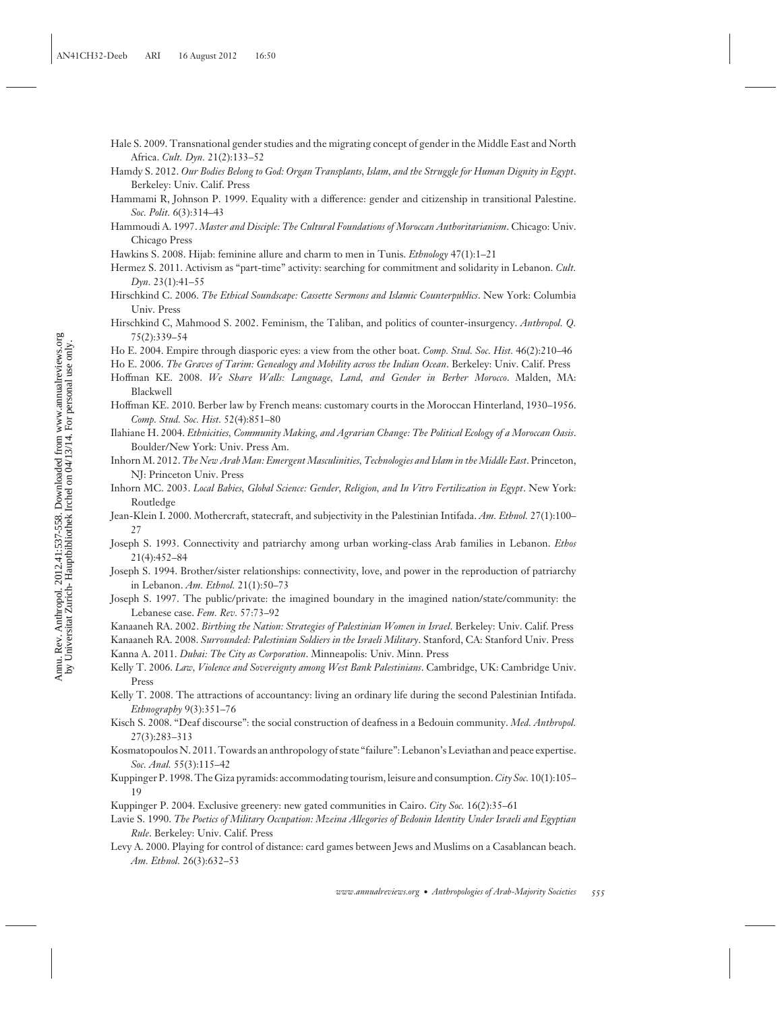- Hale S. 2009. Transnational gender studies and the migrating concept of gender in the Middle East and North Africa. *Cult. Dyn.* 21(2):133–52
- Hamdy S. 2012. *Our Bodies Belong to God: Organ Transplants, Islam, and the Struggle for Human Dignity in Egypt*. Berkeley: Univ. Calif. Press
- Hammami R, Johnson P. 1999. Equality with a difference: gender and citizenship in transitional Palestine. *Soc. Polit.* 6(3):314–43
- Hammoudi A. 1997. *Master and Disciple: The Cultural Foundations of Moroccan Authoritarianism*. Chicago: Univ. Chicago Press
- Hawkins S. 2008. Hijab: feminine allure and charm to men in Tunis. *Ethnology* 47(1):1–21
- Hermez S. 2011. Activism as "part-time" activity: searching for commitment and solidarity in Lebanon. *Cult. Dyn.* 23(1):41–55
- Hirschkind C. 2006. *The Ethical Soundscape: Cassette Sermons and Islamic Counterpublics*. New York: Columbia Univ. Press
- Hirschkind C, Mahmood S. 2002. Feminism, the Taliban, and politics of counter-insurgency. *Anthropol. Q.* 75(2):339–54
- Ho E. 2004. Empire through diasporic eyes: a view from the other boat. *Comp. Stud. Soc. Hist.* 46(2):210–46
- Ho E. 2006. *The Graves of Tarim: Genealogy and Mobility across the Indian Ocean*. Berkeley: Univ. Calif. Press
- Hoffman KE. 2008. *We Share Walls: Language, Land, and Gender in Berber Morocco*. Malden, MA: Blackwell
- Hoffman KE. 2010. Berber law by French means: customary courts in the Moroccan Hinterland, 1930–1956. *Comp. Stud. Soc. Hist.* 52(4):851–80
- Ilahiane H. 2004. *Ethnicities, Community Making, and Agrarian Change: The Political Ecology of a Moroccan Oasis*. Boulder/New York: Univ. Press Am.
- Inhorn M. 2012. *The New Arab Man: Emergent Masculinities, Technologies and Islam in the Middle East*. Princeton, NJ: Princeton Univ. Press
- Inhorn MC. 2003. *Local Babies, Global Science: Gender, Religion, and In Vitro Fertilization in Egypt*. New York: Routledge
- Jean-Klein I. 2000. Mothercraft, statecraft, and subjectivity in the Palestinian Intifada. *Am. Ethnol.* 27(1):100– 27
- Joseph S. 1993. Connectivity and patriarchy among urban working-class Arab families in Lebanon. *Ethos* 21(4):452–84
- Joseph S. 1994. Brother/sister relationships: connectivity, love, and power in the reproduction of patriarchy in Lebanon. *Am. Ethnol.* 21(1):50–73
- Joseph S. 1997. The public/private: the imagined boundary in the imagined nation/state/community: the Lebanese case. *Fem. Rev.* 57:73–92
- Kanaaneh RA. 2002. *Birthing the Nation: Strategies of Palestinian Women in Israel*. Berkeley: Univ. Calif. Press
- Kanaaneh RA. 2008. *Surrounded: Palestinian Soldiers in the Israeli Military*. Stanford, CA: Stanford Univ. Press Kanna A. 2011. *Dubai: The City as Corporation*. Minneapolis: Univ. Minn. Press
- Kelly T. 2006. *Law, Violence and Sovereignty among West Bank Palestinians*. Cambridge, UK: Cambridge Univ. Press
- Kelly T. 2008. The attractions of accountancy: living an ordinary life during the second Palestinian Intifada. *Ethnography* 9(3):351–76
- Kisch S. 2008. "Deaf discourse": the social construction of deafness in a Bedouin community. *Med. Anthropol.* 27(3):283–313
- Kosmatopoulos N. 2011. Towards an anthropology of state "failure": Lebanon's Leviathan and peace expertise. *Soc. Anal.* 55(3):115–42
- Kuppinger P. 1998. The Giza pyramids: accommodating tourism, leisure and consumption.*City Soc.* 10(1):105– 19
- Kuppinger P. 2004. Exclusive greenery: new gated communities in Cairo. *City Soc.* 16(2):35–61
- Lavie S. 1990. *The Poetics of Military Occupation: Mzeina Allegories of Bedouin Identity Under Israeli and Egyptian Rule*. Berkeley: Univ. Calif. Press
- Levy A. 2000. Playing for control of distance: card games between Jews and Muslims on a Casablancan beach. *Am. Ethnol.* 26(3):632–53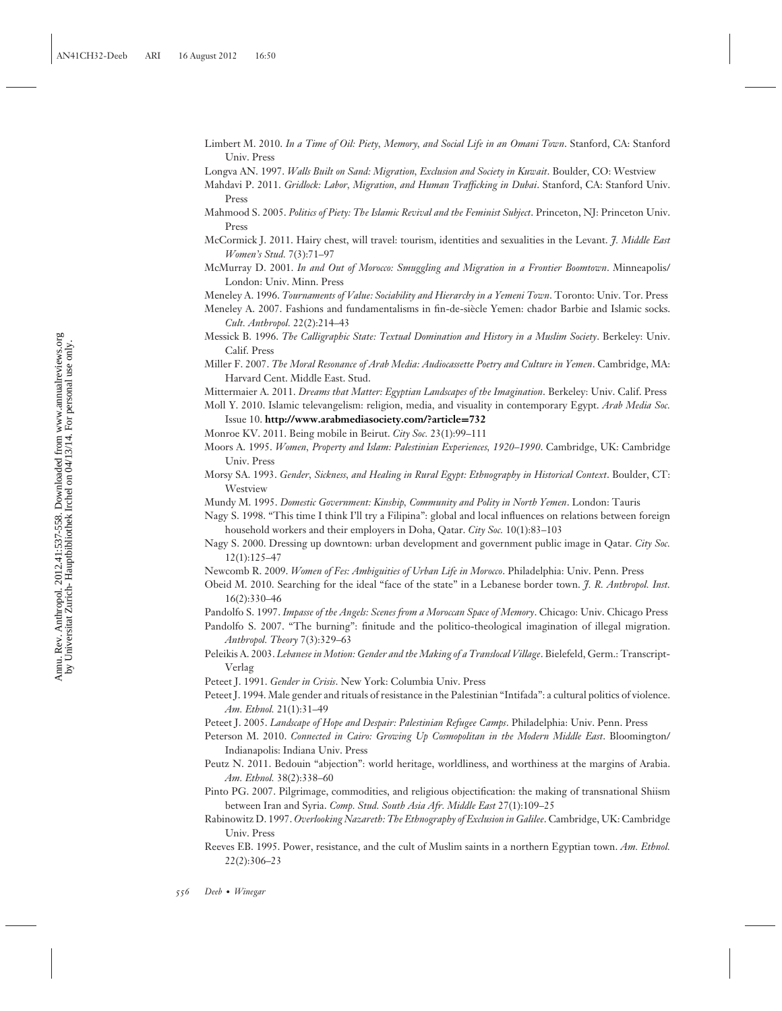- Limbert M. 2010. *In a Time of Oil: Piety, Memory, and Social Life in an Omani Town*. Stanford, CA: Stanford Univ. Press
- Longva AN. 1997. *Walls Built on Sand: Migration, Exclusion and Society in Kuwait*. Boulder, CO: Westview
- Mahdavi P. 2011. *Gridlock: Labor, Migration, and Human Trafficking in Dubai*. Stanford, CA: Stanford Univ. Press
- Mahmood S. 2005. *Politics of Piety: The Islamic Revival and the Feminist Subject*. Princeton, NJ: Princeton Univ. Press
- McCormick J. 2011. Hairy chest, will travel: tourism, identities and sexualities in the Levant. *J. Middle East Women's Stud.* 7(3):71–97
- McMurray D. 2001. *In and Out of Morocco: Smuggling and Migration in a Frontier Boomtown*. Minneapolis/ London: Univ. Minn. Press
- Meneley A. 1996. *Tournaments of Value: Sociability and Hierarchy in a Yemeni Town*. Toronto: Univ. Tor. Press
- Meneley A. 2007. Fashions and fundamentalisms in fin-de-siecle Yemen: chador Barbie and Islamic socks. ` *Cult. Anthropol.* 22(2):214–43
- Messick B. 1996. *The Calligraphic State: Textual Domination and History in a Muslim Society*. Berkeley: Univ. Calif. Press
- Miller F. 2007. *The Moral Resonance of Arab Media: Audiocassette Poetry and Culture in Yemen*. Cambridge, MA: Harvard Cent. Middle East. Stud.

Mittermaier A. 2011. *Dreams that Matter: Egyptian Landscapes of the Imagination*. Berkeley: Univ. Calif. Press

Moll Y. 2010. Islamic televangelism: religion, media, and visuality in contemporary Egypt. *Arab Media Soc.* Issue 10. **[http://www.arabmediasociety.com/?article](http://www.arabmediasociety.com/?article=732)=732**

- Monroe KV. 2011. Being mobile in Beirut. *City Soc.* 23(1):99–111
- Moors A. 1995. *Women, Property and Islam: Palestinian Experiences, 1920–1990*. Cambridge, UK: Cambridge Univ. Press
- Morsy SA. 1993. *Gender, Sickness, and Healing in Rural Egypt: Ethnography in Historical Context*. Boulder, CT: **Westview**
- Mundy M. 1995. *Domestic Government: Kinship, Community and Polity in North Yemen*. London: Tauris
- Nagy S. 1998. "This time I think I'll try a Filipina": global and local influences on relations between foreign household workers and their employers in Doha, Qatar. *City Soc.* 10(1):83–103
- Nagy S. 2000. Dressing up downtown: urban development and government public image in Qatar. *City Soc.* 12(1):125–47
- Newcomb R. 2009. *Women of Fes: Ambiguities of Urban Life in Morocco*. Philadelphia: Univ. Penn. Press
- Obeid M. 2010. Searching for the ideal "face of the state" in a Lebanese border town. *J. R. Anthropol. Inst.* 16(2):330–46
- Pandolfo S. 1997. *Impasse of the Angels: Scenes from a Moroccan Space of Memory*. Chicago: Univ. Chicago Press
- Pandolfo S. 2007. "The burning": finitude and the politico-theological imagination of illegal migration. *Anthropol. Theory* 7(3):329–63
- Peleikis A. 2003. *Lebanese in Motion: Gender and the Making of a Translocal Village*. Bielefeld, Germ.: Transcript-Verlag
- Peteet J. 1991. *Gender in Crisis*. New York: Columbia Univ. Press
- Peteet J. 1994. Male gender and rituals of resistance in the Palestinian "Intifada": a cultural politics of violence. *Am. Ethnol.* 21(1):31–49
- Peteet J. 2005. *Landscape of Hope and Despair: Palestinian Refugee Camps*. Philadelphia: Univ. Penn. Press
- Peterson M. 2010. *Connected in Cairo: Growing Up Cosmopolitan in the Modern Middle East*. Bloomington/ Indianapolis: Indiana Univ. Press
- Peutz N. 2011. Bedouin "abjection": world heritage, worldliness, and worthiness at the margins of Arabia. *Am. Ethnol.* 38(2):338–60
- Pinto PG. 2007. Pilgrimage, commodities, and religious objectification: the making of transnational Shiism between Iran and Syria. *Comp. Stud. South Asia Afr. Middle East* 27(1):109–25
- Rabinowitz D. 1997. *Overlooking Nazareth: The Ethnography of Exclusion in Galilee*. Cambridge, UK: Cambridge Univ. Press
- Reeves EB. 1995. Power, resistance, and the cult of Muslim saints in a northern Egyptian town. *Am. Ethnol.* 22(2):306–23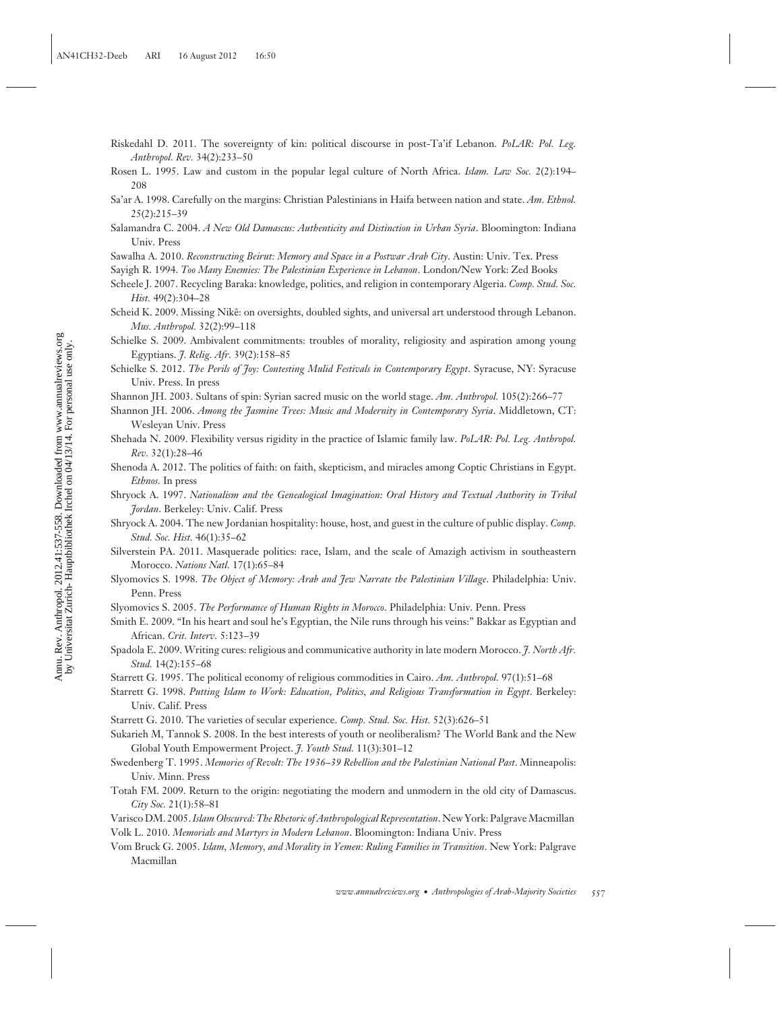- Annu. Rev. Anthropol. 2012.41:537-558. Downloaded from www.annualreviews.org<br>by Universitat Zurich-Hauptbibliothek Irchel on 04/13/14. For personal use only. Annu. Rev. Anthropol. 2012.41:537-558. Downloaded from www.annualreviews.org by Universitat Zurich- Hauptbibliothek Irchel on 04/13/14. For personal use only.
- Riskedahl D. 2011. The sovereignty of kin: political discourse in post-Ta'if Lebanon. *PoLAR: Pol. Leg. Anthropol. Rev.* 34(2):233–50
- Rosen L. 1995. Law and custom in the popular legal culture of North Africa. *Islam. Law Soc.* 2(2):194– 208
- Sa'ar A. 1998. Carefully on the margins: Christian Palestinians in Haifa between nation and state. *Am. Ethnol.* 25(2):215–39
- Salamandra C. 2004. *A New Old Damascus: Authenticity and Distinction in Urban Syria*. Bloomington: Indiana Univ. Press
- Sawalha A. 2010. *Reconstructing Beirut: Memory and Space in a Postwar Arab City*. Austin: Univ. Tex. Press
- Sayigh R. 1994. *Too Many Enemies: The Palestinian Experience in Lebanon*. London/New York: Zed Books
- Scheele J. 2007. Recycling Baraka: knowledge, politics, and religion in contemporary Algeria. *Comp. Stud. Soc. Hist.* 49(2):304–28
- Scheid K. 2009. Missing Nikê: on oversights, doubled sights, and universal art understood through Lebanon. *Mus. Anthropol.* 32(2):99–118
- Schielke S. 2009. Ambivalent commitments: troubles of morality, religiosity and aspiration among young Egyptians. *J. Relig. Afr.* 39(2):158–85
- Schielke S. 2012. *The Perils of Joy: Contesting Mulid Festivals in Contemporary Egypt*. Syracuse, NY: Syracuse Univ. Press. In press
- Shannon JH. 2003. Sultans of spin: Syrian sacred music on the world stage. *Am. Anthropol.* 105(2):266–77
- Shannon JH. 2006. *Among the Jasmine Trees: Music and Modernity in Contemporary Syria*. Middletown, CT: Wesleyan Univ. Press
- Shehada N. 2009. Flexibility versus rigidity in the practice of Islamic family law. *PoLAR: Pol. Leg. Anthropol. Rev.* 32(1):28–46
- Shenoda A. 2012. The politics of faith: on faith, skepticism, and miracles among Coptic Christians in Egypt. *Ethnos.* In press
- Shryock A. 1997. *Nationalism and the Genealogical Imagination: Oral History and Textual Authority in Tribal Jordan*. Berkeley: Univ. Calif. Press
- Shryock A. 2004. The new Jordanian hospitality: house, host, and guest in the culture of public display. *Comp. Stud. Soc. Hist.* 46(1):35–62
- Silverstein PA. 2011. Masquerade politics: race, Islam, and the scale of Amazigh activism in southeastern Morocco. *Nations Natl.* 17(1):65–84
- Slyomovics S. 1998. *The Object of Memory: Arab and Jew Narrate the Palestinian Village*. Philadelphia: Univ. Penn. Press
- Slyomovics S. 2005. *The Performance of Human Rights in Morocco*. Philadelphia: Univ. Penn. Press
- Smith E. 2009. "In his heart and soul he's Egyptian, the Nile runs through his veins:" Bakkar as Egyptian and African. *Crit. Interv.* 5:123–39
- Spadola E. 2009. Writing cures: religious and communicative authority in late modern Morocco. *J. North Afr. Stud.* 14(2):155–68
- Starrett G. 1995. The political economy of religious commodities in Cairo. *Am. Anthropol.* 97(1):51–68
- Starrett G. 1998. *Putting Islam to Work: Education, Politics, and Religious Transformation in Egypt*. Berkeley: Univ. Calif. Press
- Starrett G. 2010. The varieties of secular experience. *Comp. Stud. Soc. Hist.* 52(3):626–51
- Sukarieh M, Tannok S. 2008. In the best interests of youth or neoliberalism? The World Bank and the New Global Youth Empowerment Project. *J. Youth Stud.* 11(3):301–12
- Swedenberg T. 1995. *Memories of Revolt: The 1936–39 Rebellion and the Palestinian National Past*. Minneapolis: Univ. Minn. Press
- Totah FM. 2009. Return to the origin: negotiating the modern and unmodern in the old city of Damascus. *City Soc.* 21(1):58–81
- Varisco DM. 2005.*Islam Obscured: The Rhetoric of Anthropological Representation*. New York: Palgrave Macmillan Volk L. 2010. *Memorials and Martyrs in Modern Lebanon*. Bloomington: Indiana Univ. Press
- Vom Bruck G. 2005. *Islam, Memory, and Morality in Yemen: Ruling Families in Transition*. New York: Palgrave Macmillan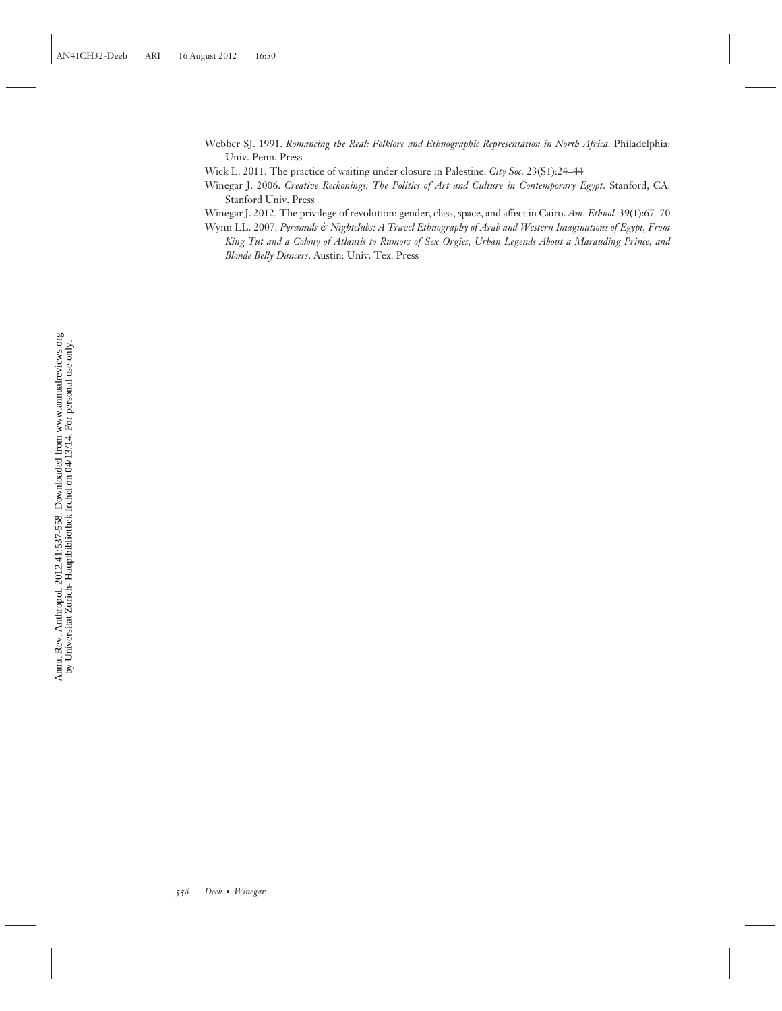- Webber SJ. 1991. *Romancing the Real: Folklore and Ethnographic Representation in North Africa*. Philadelphia: Univ. Penn. Press
- Wick L. 2011. The practice of waiting under closure in Palestine. *City Soc.* 23(S1):24–44
- Winegar J. 2006. *Creative Reckonings: The Politics of Art and Culture in Contemporary Egypt*. Stanford, CA: Stanford Univ. Press
- Winegar J. 2012. The privilege of revolution: gender, class, space, and affect in Cairo. *Am. Ethnol.* 39(1):67–70
- Wynn LL. 2007. *Pyramids & Nightclubs: A Travel Ethnography of Arab and Western Imaginations of Egypt, From King Tut and a Colony of Atlantis to Rumors of Sex Orgies, Urban Legends About a Marauding Prince, and Blonde Belly Dancers*. Austin: Univ. Tex. Press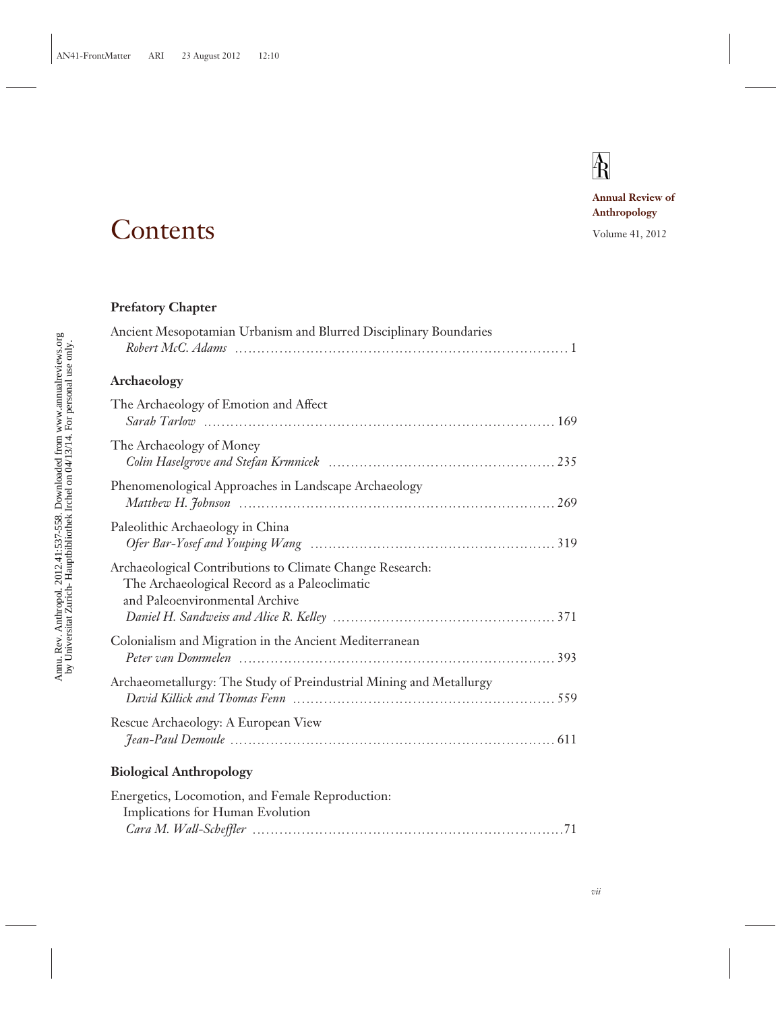# $\overline{\text{R}}$

**Annual Review of Anthropology**

## Contents Volume 41, 2012

## **Prefatory Chapter**

| Ancient Mesopotamian Urbanism and Blurred Disciplinary Boundaries                                                                          |
|--------------------------------------------------------------------------------------------------------------------------------------------|
| Archaeology                                                                                                                                |
| The Archaeology of Emotion and Affect                                                                                                      |
| The Archaeology of Money                                                                                                                   |
| Phenomenological Approaches in Landscape Archaeology                                                                                       |
| Paleolithic Archaeology in China                                                                                                           |
| Archaeological Contributions to Climate Change Research:<br>The Archaeological Record as a Paleoclimatic<br>and Paleoenvironmental Archive |
| Colonialism and Migration in the Ancient Mediterranean                                                                                     |
| Archaeometallurgy: The Study of Preindustrial Mining and Metallurgy<br>David Killick and Thomas Fenn (and the continuum continuum of 59)   |
| Rescue Archaeology: A European View                                                                                                        |
| <b>Biological Anthropology</b>                                                                                                             |
| Energetics, Locomotion, and Female Reproduction:<br>Implications for Human Evolution                                                       |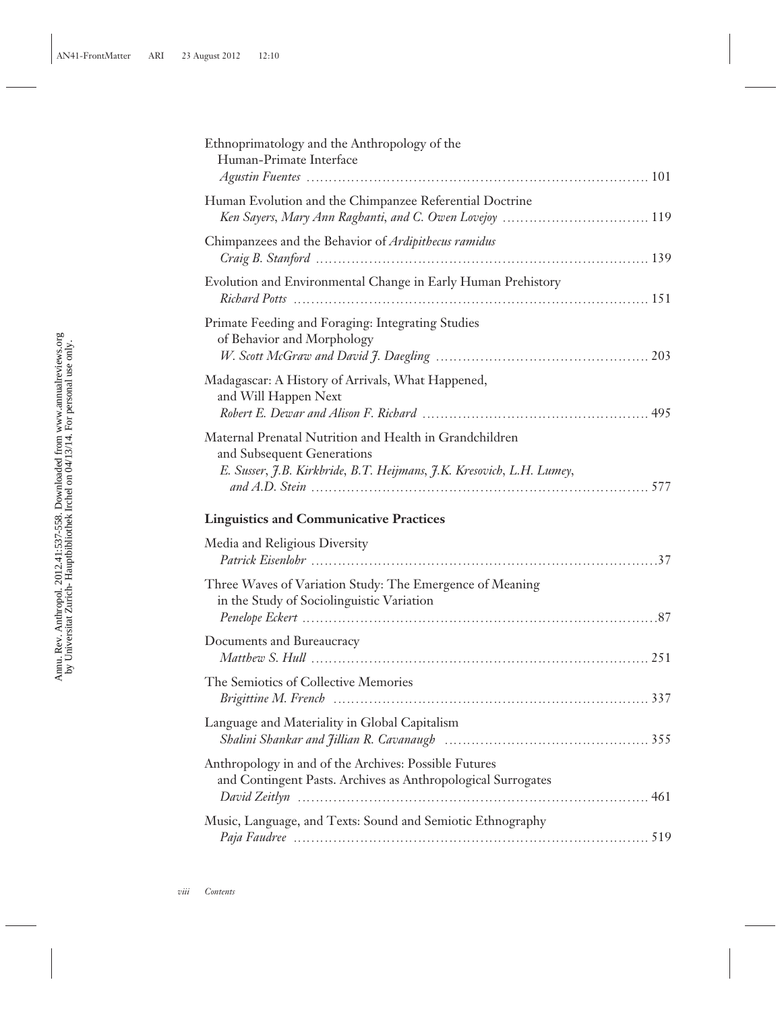| Ethnoprimatology and the Anthropology of the<br>Human-Primate Interface                                                                                        |
|----------------------------------------------------------------------------------------------------------------------------------------------------------------|
| Human Evolution and the Chimpanzee Referential Doctrine                                                                                                        |
| Chimpanzees and the Behavior of Ardipithecus ramidus                                                                                                           |
| Evolution and Environmental Change in Early Human Prehistory<br>Richard Potts (and Table 151) Richard Potts (and Table 151)                                    |
| Primate Feeding and Foraging: Integrating Studies<br>of Behavior and Morphology                                                                                |
| Madagascar: A History of Arrivals, What Happened,<br>and Will Happen Next                                                                                      |
| Maternal Prenatal Nutrition and Health in Grandchildren<br>and Subsequent Generations<br>E. Susser, J.B. Kirkbride, B.T. Heijmans, J.K. Kresovich, L.H. Lumey, |
| <b>Linguistics and Communicative Practices</b>                                                                                                                 |
|                                                                                                                                                                |
| Media and Religious Diversity                                                                                                                                  |
| Three Waves of Variation Study: The Emergence of Meaning<br>in the Study of Sociolinguistic Variation                                                          |
| Documents and Bureaucracy                                                                                                                                      |
| The Semiotics of Collective Memories                                                                                                                           |
| Language and Materiality in Global Capitalism                                                                                                                  |
| Anthropology in and of the Archives: Possible Futures<br>and Contingent Pasts. Archives as Anthropological Surrogates                                          |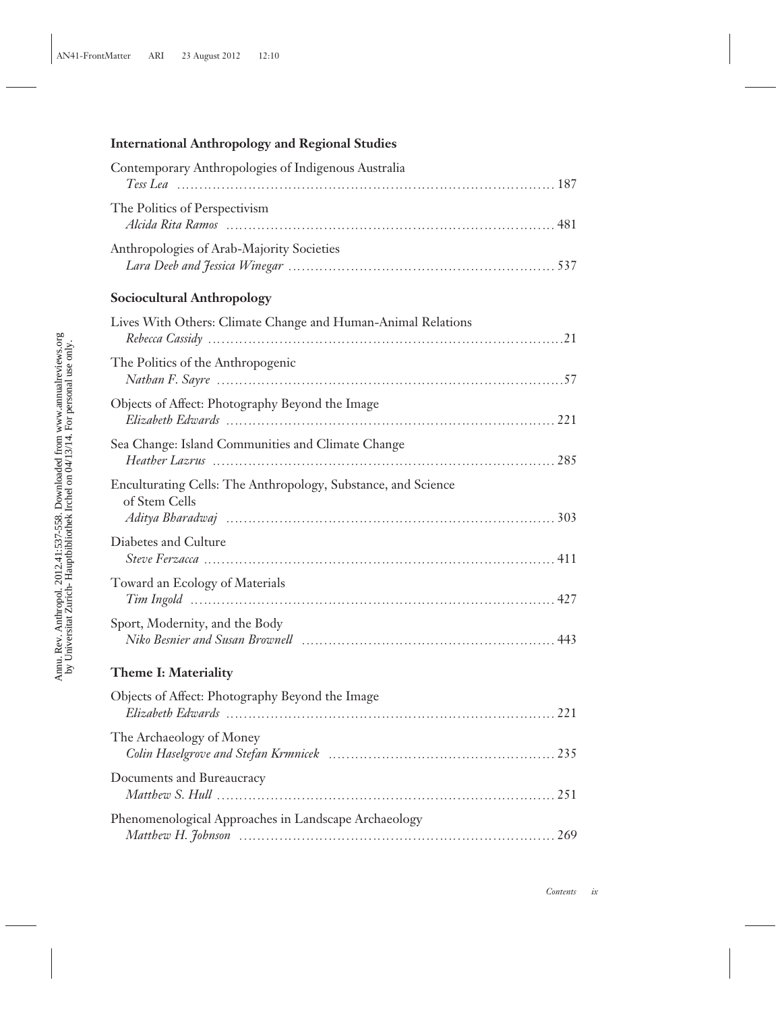## **International Anthropology and Regional Studies**

| Contemporary Anthropologies of Indigenous Australia                                                                                             |  |
|-------------------------------------------------------------------------------------------------------------------------------------------------|--|
| The Politics of Perspectivism<br>Alcida Rita Ramos (1998) (1998) (1998) (1998) (1998) (1998) (1998) (1998) (1998) (1998) (1998) (1998) (1998) ( |  |
| Anthropologies of Arab-Majority Societies                                                                                                       |  |
| <b>Sociocultural Anthropology</b>                                                                                                               |  |
| Lives With Others: Climate Change and Human-Animal Relations                                                                                    |  |
| The Politics of the Anthropogenic                                                                                                               |  |
| Objects of Affect: Photography Beyond the Image                                                                                                 |  |
| Sea Change: Island Communities and Climate Change                                                                                               |  |
| Enculturating Cells: The Anthropology, Substance, and Science<br>of Stem Cells                                                                  |  |
| Diabetes and Culture                                                                                                                            |  |
| Toward an Ecology of Materials                                                                                                                  |  |
| Sport, Modernity, and the Body<br>Niko Besnier and Susan Brownell (and the continuum control and 43                                             |  |
| Theme I: Materiality                                                                                                                            |  |
| Objects of Affect: Photography Beyond the Image                                                                                                 |  |
| The Archaeology of Money                                                                                                                        |  |
| Documents and Bureaucracy                                                                                                                       |  |
| Phenomenological Approaches in Landscape Archaeology                                                                                            |  |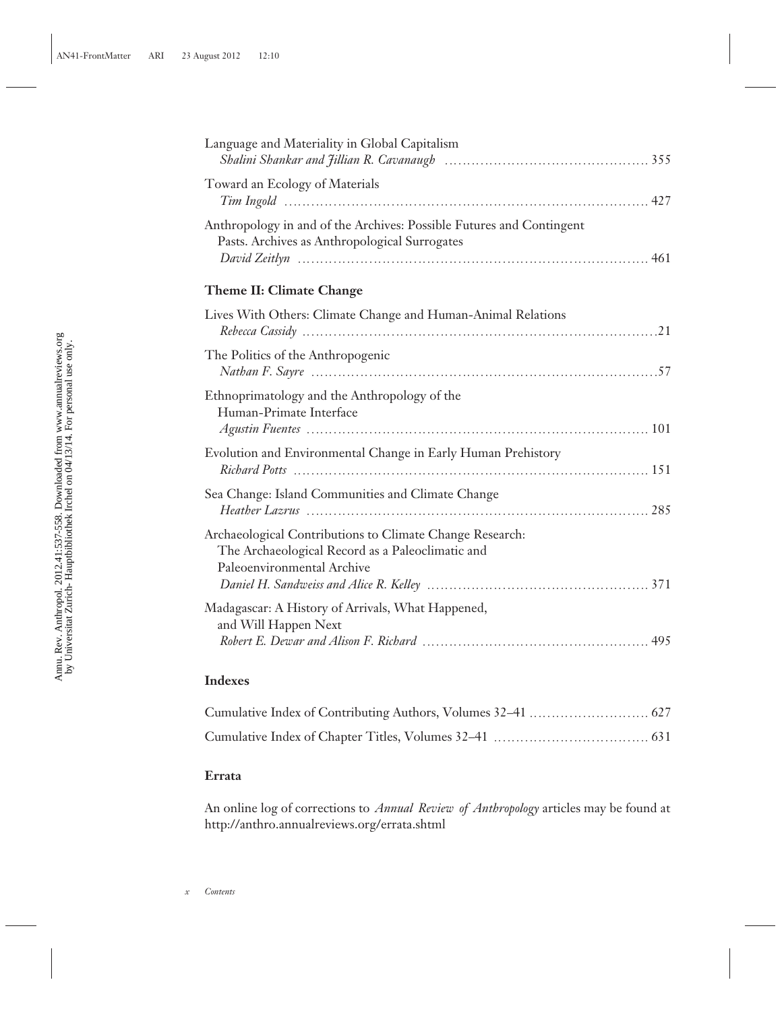| Language and Materiality in Global Capitalism                                                                                              |  |
|--------------------------------------------------------------------------------------------------------------------------------------------|--|
| Toward an Ecology of Materials                                                                                                             |  |
| Anthropology in and of the Archives: Possible Futures and Contingent<br>Pasts. Archives as Anthropological Surrogates                      |  |
| Theme II: Climate Change                                                                                                                   |  |
| Lives With Others: Climate Change and Human-Animal Relations                                                                               |  |
| The Politics of the Anthropogenic                                                                                                          |  |
| Ethnoprimatology and the Anthropology of the<br>Human-Primate Interface                                                                    |  |
| Evolution and Environmental Change in Early Human Prehistory                                                                               |  |
| Sea Change: Island Communities and Climate Change                                                                                          |  |
| Archaeological Contributions to Climate Change Research:<br>The Archaeological Record as a Paleoclimatic and<br>Paleoenvironmental Archive |  |
| Madagascar: A History of Arrivals, What Happened,<br>and Will Happen Next                                                                  |  |
|                                                                                                                                            |  |

## **Indexes**

#### **Errata**

An online log of corrections to *Annual Review of Anthropology* articles may be found at http://anthro.annualreviews.org/errata.shtml